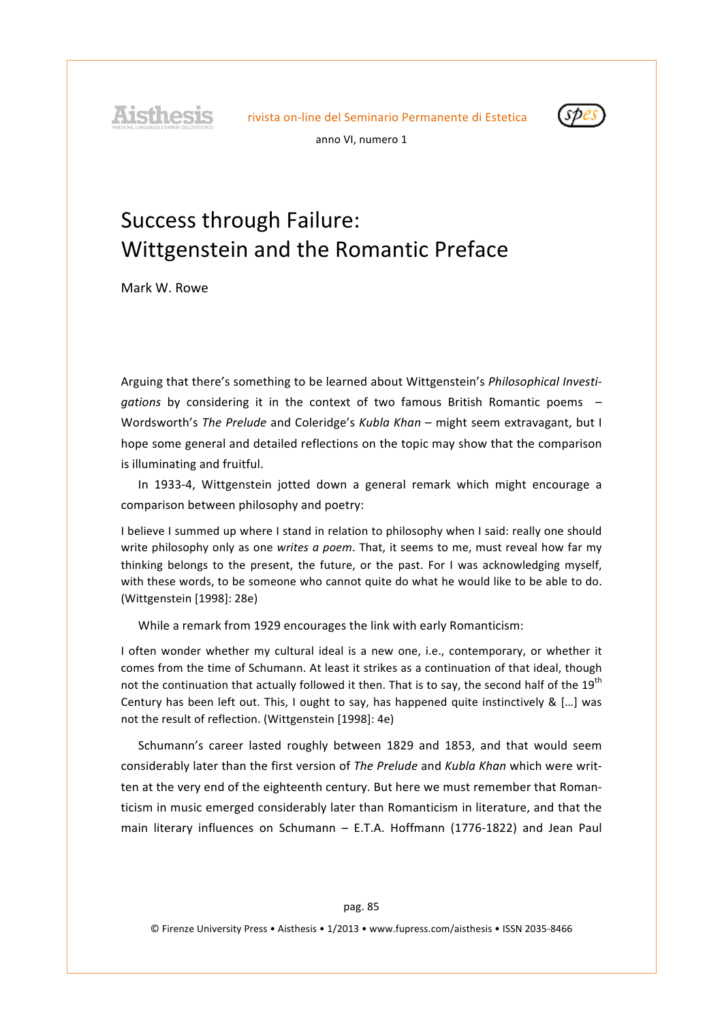**Aisthesis** 



anno VI, numero 1

# Success through Failure: Wittgenstein and the Romantic Preface

Mark'W. Rowe

Arguing that there's something to be learned about Wittgenstein's *Philosophical Investi*gations by considering it in the context of two famous British Romantic poems – Wordsworth's *The Prelude* and Coleridge's *Kubla Khan* – might seem extravagant, but I hope some general and detailed reflections on the topic may show that the comparison is illuminating and fruitful.

In 1933-4, Wittgenstein jotted down a general remark which might encourage a comparison between philosophy and poetry:

I believe I summed up where I stand in relation to philosophy when I said: really one should write philosophy only as one *writes a poem*. That, it seems to me, must reveal how far my thinking belongs to the present, the future, or the past. For I was acknowledging myself, with these words, to be someone who cannot quite do what he would like to be able to do. (Wittgenstein [1998]: 28e)

While a remark from 1929 encourages the link with early Romanticism:

I often wonder whether my cultural ideal is a new one, i.e., contemporary, or whether it comes from the time of Schumann. At least it strikes as a continuation of that ideal, though not the continuation that actually followed it then. That is to say, the second half of the 19<sup>th</sup> Century has been left out. This, I ought to say, has happened quite instinctively & [...] was not the result of reflection. (Wittgenstein [1998]: 4e)

Schumann's career lasted roughly between 1829 and 1853, and that would seem considerably later than the first version of *The Prelude* and *Kubla Khan* which were written at the very end of the eighteenth century. But here we must remember that Romanticism in music emerged considerably later than Romanticism in literature, and that the main literary influences on Schumann - E.T.A. Hoffmann (1776-1822) and Jean Paul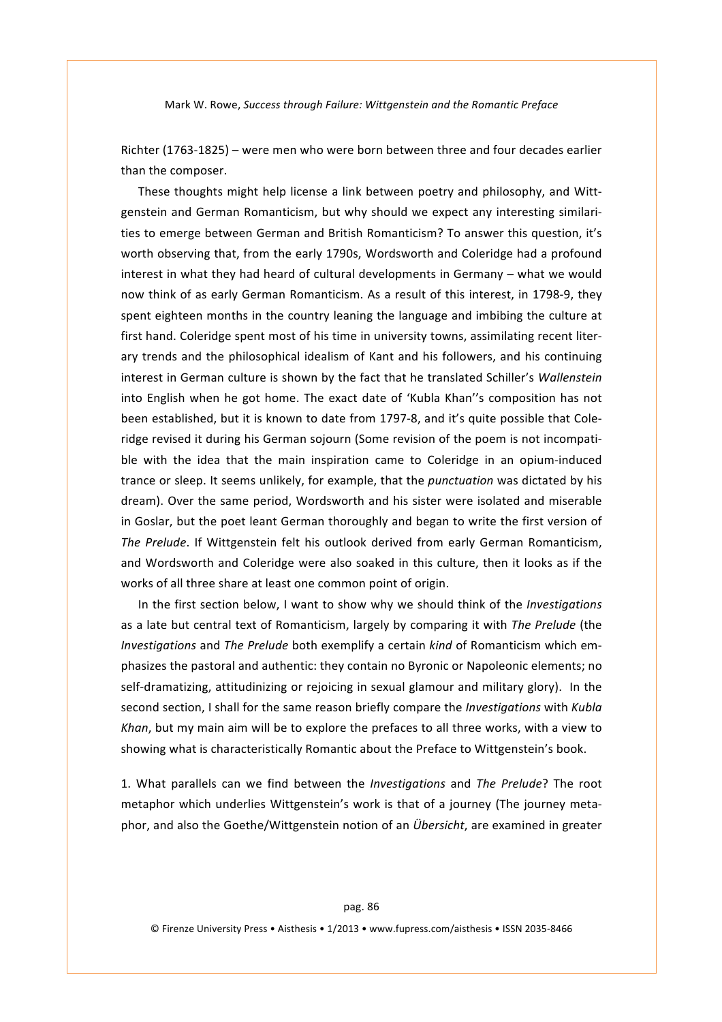Richter (1763-1825) – were men who were born between three and four decades earlier than the composer.

These thoughts might help license a link between poetry and philosophy, and Wittgenstein and German Romanticism, but why should we expect any interesting similarities to emerge between German and British Romanticism? To answer this question, it's worth observing that, from the early 1790s, Wordsworth and Coleridge had a profound interest in what they had heard of cultural developments in Germany – what we would now think of as early German Romanticism. As a result of this interest, in 1798-9, they spent eighteen months in the country leaning the language and imbibing the culture at first hand. Coleridge spent most of his time in university towns, assimilating recent literary trends and the philosophical idealism of Kant and his followers, and his continuing interest in German culture is shown by the fact that he translated Schiller's *Wallenstein* into English when he got home. The exact date of 'Kubla Khan''s composition has not been established, but it is known to date from 1797-8, and it's quite possible that Coleridge revised it during his German sojourn (Some revision of the poem is not incompatible with the idea that the main inspiration came to Coleridge in an opium-induced trance or sleep. It seems unlikely, for example, that the *punctuation* was dictated by his dream). Over the same period, Wordsworth and his sister were isolated and miserable in Goslar, but the poet leant German thoroughly and began to write the first version of The Prelude. If Wittgenstein felt his outlook derived from early German Romanticism, and Wordsworth and Coleridge were also soaked in this culture, then it looks as if the works of all three share at least one common point of origin.

In the first section below, I want to show why we should think of the *Investigations* as a late but central text of Romanticism, largely by comparing it with *The Prelude* (the *Investigations* and *The Prelude* both exemplify a certain *kind* of Romanticism which emphasizes the pastoral and authentic: they contain no Byronic or Napoleonic elements; no self-dramatizing, attitudinizing or rejoicing in sexual glamour and military glory). In the second section, I shall for the same reason briefly compare the *Investigations* with *Kubla Khan*, but my main aim will be to explore the prefaces to all three works, with a view to showing what is characteristically Romantic about the Preface to Wittgenstein's book.

1. What parallels can we find between the *Investigations* and *The Prelude*? The root metaphor which underlies Wittgenstein's work is that of a journey (The journey metaphor, and also the Goethe/Wittgenstein notion of an *Übersicht*, are examined in greater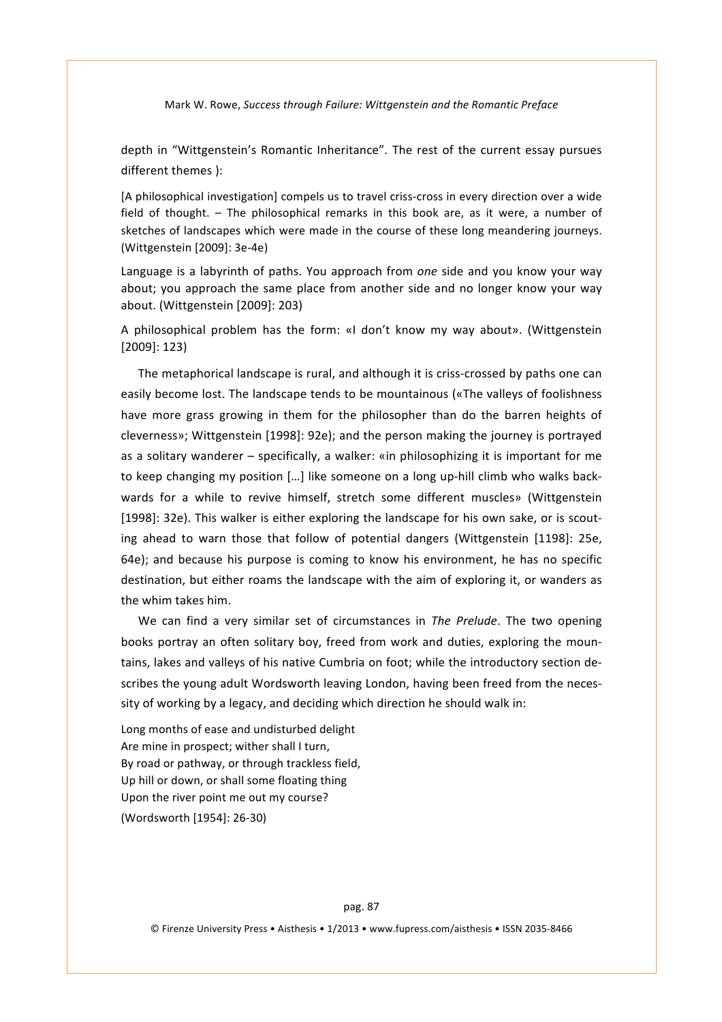depth in "Wittgenstein's Romantic Inheritance". The rest of the current essay pursues different themes ):

[A philosophical investigation] compels us to travel criss-cross in every direction over a wide field of thought. - The philosophical remarks in this book are, as it were, a number of sketches of landscapes which were made in the course of these long meandering journeys. (Wittgenstein [2009]: 3e-4e)

Language is a labyrinth of paths. You approach from *one* side and you know your way about; you approach the same place from another side and no longer know your way about. (Wittgenstein [2009]: 203)

A philosophical problem has the form: «I don't know my way about». (Wittgenstein' [2009]: 123)

The metaphorical landscape is rural, and although it is criss-crossed by paths one can easily become lost. The landscape tends to be mountainous («The valleys of foolishness' have more grass growing in them for the philosopher than do the barren heights of cleverness»; Wittgenstein [1998]: 92e); and the person making the journey is portrayed as a solitary wanderer – specifically, a walker: «in philosophizing it is important for me to keep changing my position [...] like someone on a long up-hill climb who walks backwards for a while to revive himself, stretch some different muscles» (Wittgenstein [1998]: 32e). This walker is either exploring the landscape for his own sake, or is scouting ahead to warn those that follow of potential dangers (Wittgenstein [1198]: 25e, 64e); and because his purpose is coming to know his environment, he has no specific destination, but either roams the landscape with the aim of exploring it, or wanders as the whim takes him.

We can find a very similar set of circumstances in The Prelude. The two opening books portray an often solitary boy, freed from work and duties, exploring the mountains, lakes and valleys of his native Cumbria on foot; while the introductory section describes the young adult Wordsworth leaving London, having been freed from the necessity of working by a legacy, and deciding which direction he should walk in:

Long months of ease and undisturbed delight Are mine in prospect; wither shall I turn, By road or pathway, or through trackless field, Up hill or down, or shall some floating thing Upon the river point me out my course? (Wordsworth [1954]: 26-30)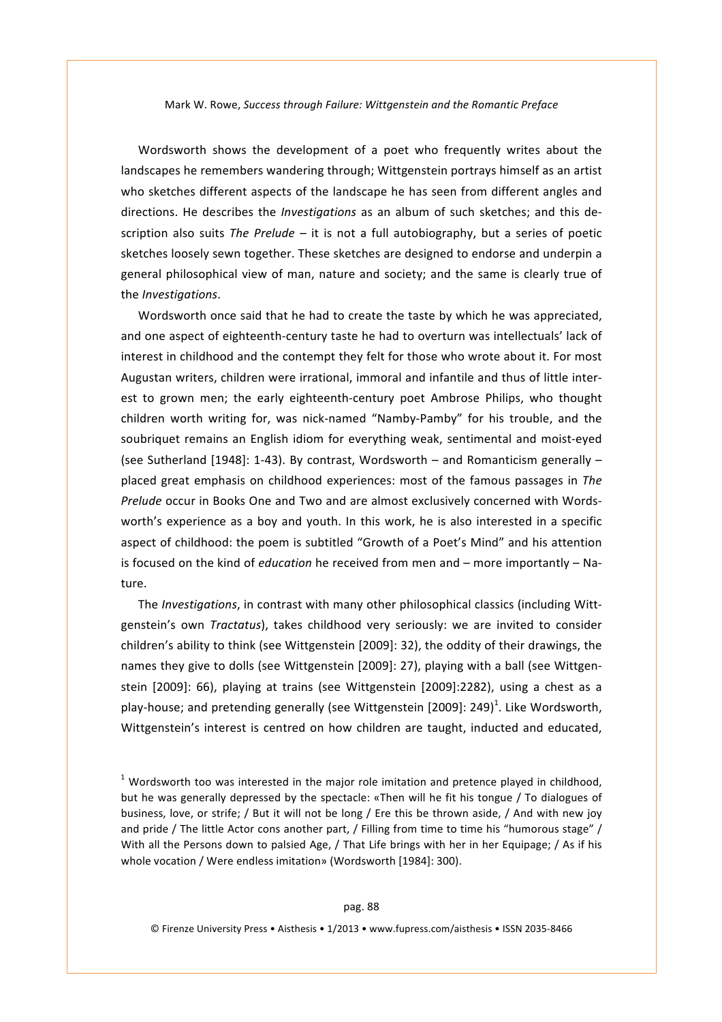Wordsworth shows the development of a poet who frequently writes about the landscapes he remembers wandering through; Wittgenstein portrays himself as an artist who sketches different aspects of the landscape he has seen from different angles and directions. He describes the *Investigations* as an album of such sketches; and this description also suits The Prelude – it is not a full autobiography, but a series of poetic sketches loosely sewn together. These sketches are designed to endorse and underpin a general philosophical view of man, nature and society; and the same is clearly true of the'*Investigations*.

Wordsworth once said that he had to create the taste by which he was appreciated, and one aspect of eighteenth-century taste he had to overturn was intellectuals' lack of interest in childhood and the contempt they felt for those who wrote about it. For most Augustan writers, children were irrational, immoral and infantile and thus of little interest to grown men; the early eighteenth-century poet Ambrose Philips, who thought children worth writing for, was nick-named "Namby-Pamby" for his trouble, and the soubriquet remains an English idiom for everything weak, sentimental and moist-eyed (see Sutherland [1948]: 1-43). By contrast, Wordsworth – and Romanticism generally – placed great emphasis on childhood experiences: most of the famous passages in *The Prelude* occur in Books One and Two and are almost exclusively concerned with Wordsworth's experience as a boy and youth. In this work, he is also interested in a specific aspect of childhood: the poem is subtitled "Growth of a Poet's Mind" and his attention is focused on the kind of *education* he received from men and – more importantly – Nature.

The *Investigations*, in contrast with many other philosophical classics (including Wittgenstein's own *Tractatus*), takes childhood very seriously: we are invited to consider children's ability to think (see Wittgenstein [2009]: 32), the oddity of their drawings, the names they give to dolls (see Wittgenstein [2009]: 27), playing with a ball (see Wittgenstein [2009]: 66), playing at trains (see Wittgenstein [2009]:2282), using a chest as a play-house; and pretending generally (see Wittgenstein [2009]: 249)<sup>1</sup>. Like Wordsworth, Wittgenstein's interest is centred on how children are taught, inducted and educated,

 $1$  Wordsworth too was interested in the major role imitation and pretence played in childhood, but he was generally depressed by the spectacle: «Then will he fit his tongue / To dialogues of business, love, or strife; / But it will not be long / Ere this be thrown aside, / And with new joy and pride / The little Actor cons another part, / Filling from time to time his "humorous stage" / With all the Persons down to palsied Age, / That Life brings with her in her Equipage; / As if his whole vocation / Were endless imitation» (Wordsworth [1984]: 300).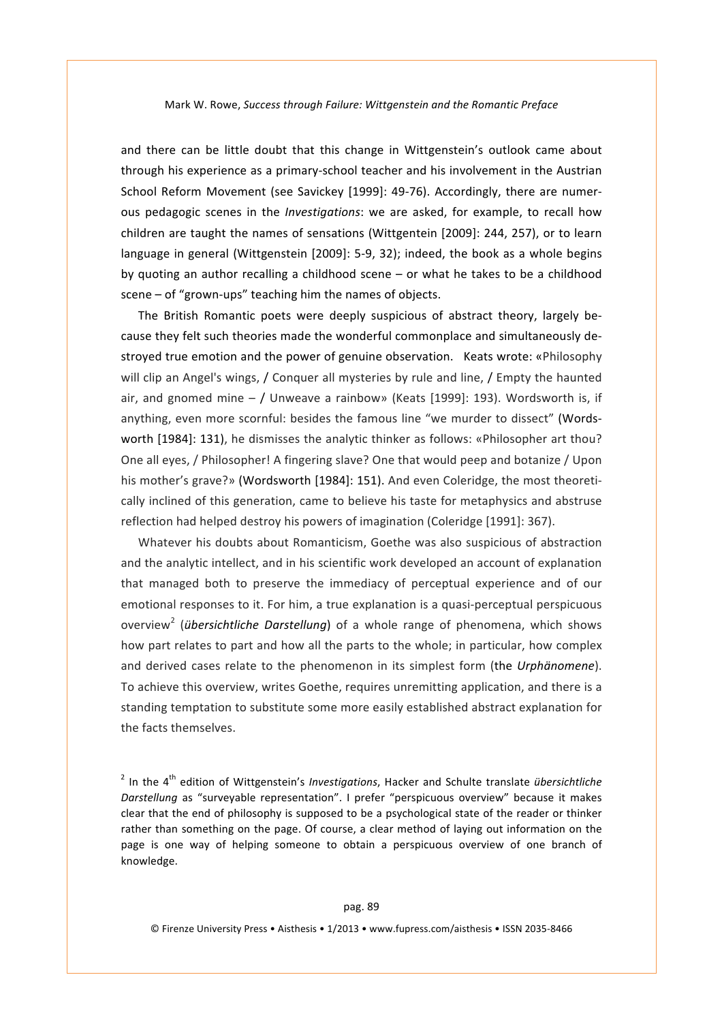and there can be little doubt that this change in Wittgenstein's outlook came about through his experience as a primary-school teacher and his involvement in the Austrian School Reform Movement (see Savickey [1999]: 49-76). Accordingly, there are numerous pedagogic scenes in the *Investigations*: we are asked, for example, to recall how children are taught the names of sensations (Wittgentein [2009]: 244, 257), or to learn language in general (Wittgenstein [2009]: 5-9, 32); indeed, the book as a whole begins by quoting an author recalling a childhood scene – or what he takes to be a childhood scene – of "grown-ups" teaching him the names of objects.

The British Romantic poets were deeply suspicious of abstract theory, largely because they felt such theories made the wonderful commonplace and simultaneously destroyed true emotion and the power of genuine observation. Keats wrote: «Philosophy will clip an Angel's wings, / Conquer all mysteries by rule and line, / Empty the haunted air, and gnomed mine  $-$  / Unweave a rainbow» (Keats [1999]: 193). Wordsworth is, if anything, even more scornful: besides the famous line "we murder to dissect" (Wordsworth [1984]: 131), he dismisses the analytic thinker as follows: «Philosopher art thou? One all eyes, / Philosopher! A fingering slave? One that would peep and botanize / Upon his mother's grave?» (Wordsworth [1984]: 151). And even Coleridge, the most theoretically inclined of this generation, came to believe his taste for metaphysics and abstruse reflection had helped destroy his powers of imagination (Coleridge [1991]: 367).

Whatever his doubts about Romanticism, Goethe was also suspicious of abstraction and the analytic intellect, and in his scientific work developed an account of explanation that managed both to preserve the immediacy of perceptual experience and of our emotional responses to it. For him, a true explanation is a quasi-perceptual perspicuous overview<sup>2</sup> (*übersichtliche Darstellung*) of a whole range of phenomena, which shows how part relates to part and how all the parts to the whole; in particular, how complex and derived cases relate to the phenomenon in its simplest form (the *Urphänomene*). To achieve this overview, writes Goethe, requires unremitting application, and there is a standing temptation to substitute some more easily established abstract explanation for the facts themselves.

<sup>2</sup> In the 4<sup>th</sup> edition of Wittgenstein's *Investigations*, Hacker and Schulte translate übersichtliche *Darstellung* as "surveyable representation". I prefer "perspicuous overview" because it makes clear that the end of philosophy is supposed to be a psychological state of the reader or thinker' rather than something on the page. Of course, a clear method of laying out information on the page is one way of helping someone to obtain a perspicuous overview of one branch of knowledge.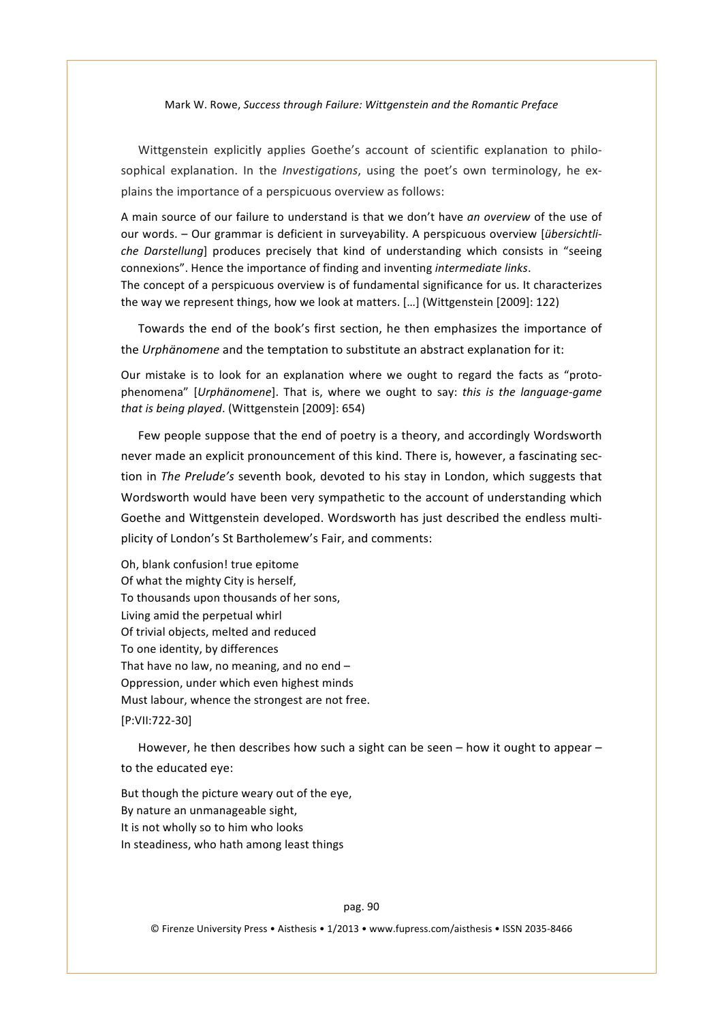Wittgenstein explicitly applies Goethe's account of scientific explanation to philosophical explanation. In the *Investigations*, using the poet's own terminology, he explains the importance of a perspicuous overview as follows:

A main source of our failure to understand is that we don't have *an overview* of the use of our words. - Our grammar is deficient in surveyability. A perspicuous overview [*übersichtliche Darstellung*] produces precisely that kind of understanding which consists in "seeing connexions". Hence the importance of finding and inventing *intermediate links*. The concept of a perspicuous overview is of fundamental significance for us. It characterizes the way we represent things, how we look at matters. [...] (Wittgenstein [2009]: 122)

Towards the end of the book's first section, he then emphasizes the importance of the *Urphänomene* and the temptation to substitute an abstract explanation for it:

Our mistake is to look for an explanation where we ought to regard the facts as "protophenomena" [*Urphänomene*]. That is, where we ought to say: *this is the language-game* that is being played. (Wittgenstein [2009]: 654)

Few people suppose that the end of poetry is a theory, and accordingly Wordsworth never made an explicit pronouncement of this kind. There is, however, a fascinating section in The Prelude's seventh book, devoted to his stay in London, which suggests that Wordsworth would have been very sympathetic to the account of understanding which Goethe and Wittgenstein developed. Wordsworth has just described the endless multiplicity of London's St Bartholemew's Fair, and comments:

Oh, blank confusion! true epitome Of what the mighty City is herself, To thousands upon thousands of her sons, Living amid the perpetual whirl Of trivial objects, melted and reduced To one identity, by differences That have no law, no meaning, and no end  $-$ Oppression, under which even highest minds Must labour, whence the strongest are not free. [P:VII:722-30]

However, he then describes how such a sight can be seen – how it ought to appear – to the educated eye:

But though the picture weary out of the eye. By nature an unmanageable sight, It is not wholly so to him who looks In steadiness, who hath among least things

pag.'90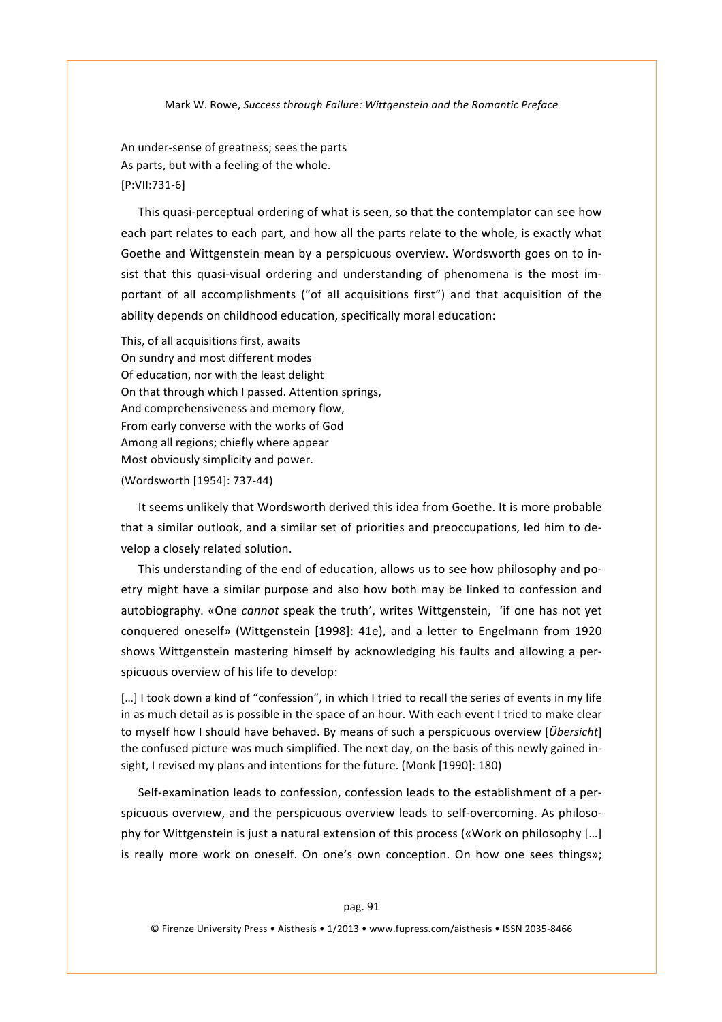An under-sense of greatness; sees the parts As parts, but with a feeling of the whole. [P:VII:731-6]

This quasi-perceptual ordering of what is seen, so that the contemplator can see how each part relates to each part, and how all the parts relate to the whole, is exactly what Goethe and Wittgenstein mean by a perspicuous overview. Wordsworth goes on to insist that this quasi-visual ordering and understanding of phenomena is the most important of all accomplishments ("of all acquisitions first") and that acquisition of the ability depends on childhood education, specifically moral education:

This, of all acquisitions first, awaits On sundry and most different modes Of education, nor with the least delight On that through which I passed. Attention springs, And comprehensiveness and memory flow. From early converse with the works of God Among all regions; chiefly where appear Most obviously simplicity and power. (Wordsworth [1954]: 737-44)

It seems unlikely that Wordsworth derived this idea from Goethe. It is more probable that a similar outlook, and a similar set of priorities and preoccupations, led him to develop a closely related solution.

This understanding of the end of education, allows us to see how philosophy and poetry might have a similar purpose and also how both may be linked to confession and autobiography. «One *cannot* speak the truth', writes Wittgenstein, 'if one has not yet conquered oneself» (Wittgenstein [1998]: 41e), and a letter to Engelmann from 1920 shows Wittgenstein' mastering himself by acknowledging his faults and allowing a perspicuous overview of his life to develop:

[...] I took down a kind of "confession", in which I tried to recall the series of events in my life in as much detail as is possible in the space of an hour. With each event I tried to make clear to myself how I should have behaved. By means of such a perspicuous overview [*Übersicht*]' the confused picture was much simplified. The next day, on the basis of this newly gained insight, I revised my plans and intentions for the future. (Monk [1990]: 180)

Self-examination leads to confession, confession leads to the establishment of a perspicuous overview, and the perspicuous overview leads to self-overcoming. As philosophy for Wittgenstein is just a natural extension of this process («Work on philosophy [...] is really more work on oneself. On one's own conception. On how one sees things»;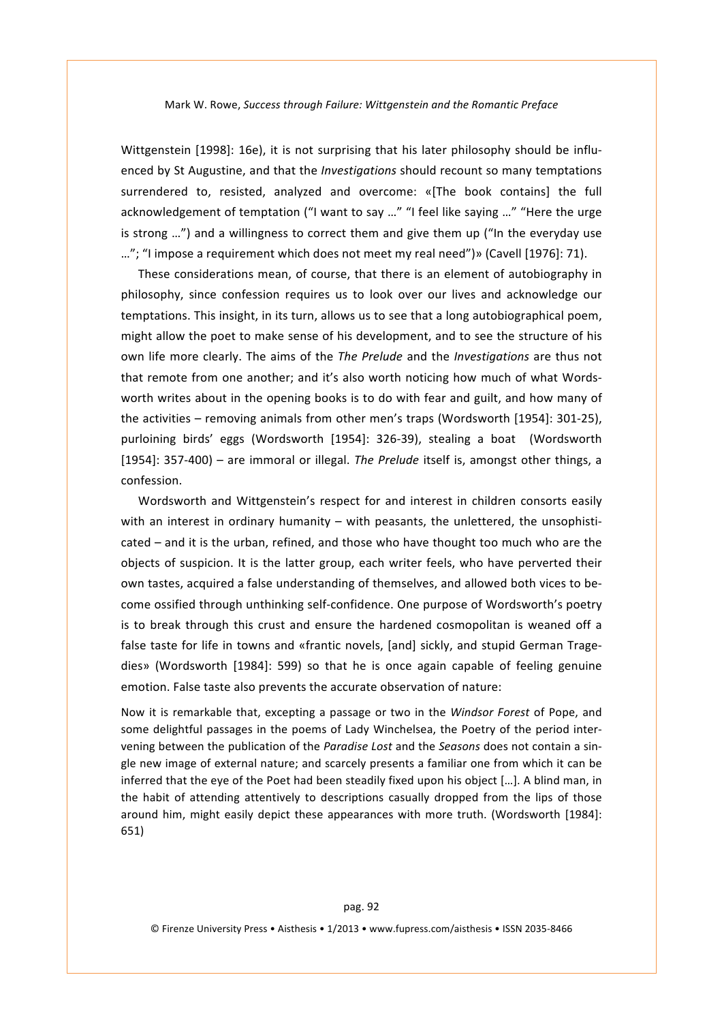Wittgenstein [1998]: 16e), it is not surprising that his later philosophy should be influenced by St Augustine, and that the *Investigations* should recount so many temptations surrendered to, resisted, analyzed and overcome: «[The book contains] the full acknowledgement of temptation ("I want to say ..." "I feel like saying ..." "Here the urge is strong ...") and a willingness to correct them and give them up ("In the everyday use ..."; "I impose a requirement which does not meet my real need")» (Cavell [1976]: 71).

These considerations mean, of course, that there is an element of autobiography in philosophy, since confession requires us to look over our lives and acknowledge our temptations. This insight, in its turn, allows us to see that a long autobiographical poem, might allow the poet to make sense of his development, and to see the structure of his own life more clearly. The aims of the *The Prelude* and the *Investigations* are thus not that remote from one another; and it's also worth noticing how much of what Wordsworth writes about in the opening books is to do with fear and guilt, and how many of the activities – removing animals from other men's traps (Wordsworth [1954]: 301-25), purloining birds' eggs (Wordsworth [1954]: 326-39), stealing a boat (Wordsworth [1954]: 357-400) – are immoral or illegal. The Prelude itself is, amongst other things, a confession.

Wordsworth and Wittgenstein's respect for and interest in children consorts easily with an interest in ordinary humanity – with peasants, the unlettered, the unsophisticated – and it is the urban, refined, and those who have thought too much who are the objects of suspicion. It is the latter group, each writer feels, who have perverted their own tastes, acquired a false understanding of themselves, and allowed both vices to become ossified through unthinking self-confidence. One purpose of Wordsworth's poetry is to break through this crust and ensure the hardened cosmopolitan is weaned off a false taste for life in towns and «frantic novels, [and] sickly, and stupid German Tragedies» (Wordsworth [1984]: 599) so that he is once again capable of feeling genuine emotion. False taste also prevents the accurate observation of nature:

Now it is remarkable that, excepting a passage or two in the *Windsor Forest* of Pope, and some delightful passages in the poems of Lady Winchelsea, the Poetry of the period intervening between the publication of the *Paradise Lost* and the *Seasons* does not contain a single new image of external nature; and scarcely presents a familiar one from which it can be inferred that the eye of the Poet had been steadily fixed upon his object [...]. A blind man, in the habit of attending attentively to descriptions casually dropped from the lips of those around him, might easily depict these appearances with more truth. (Wordsworth [1984]: 651)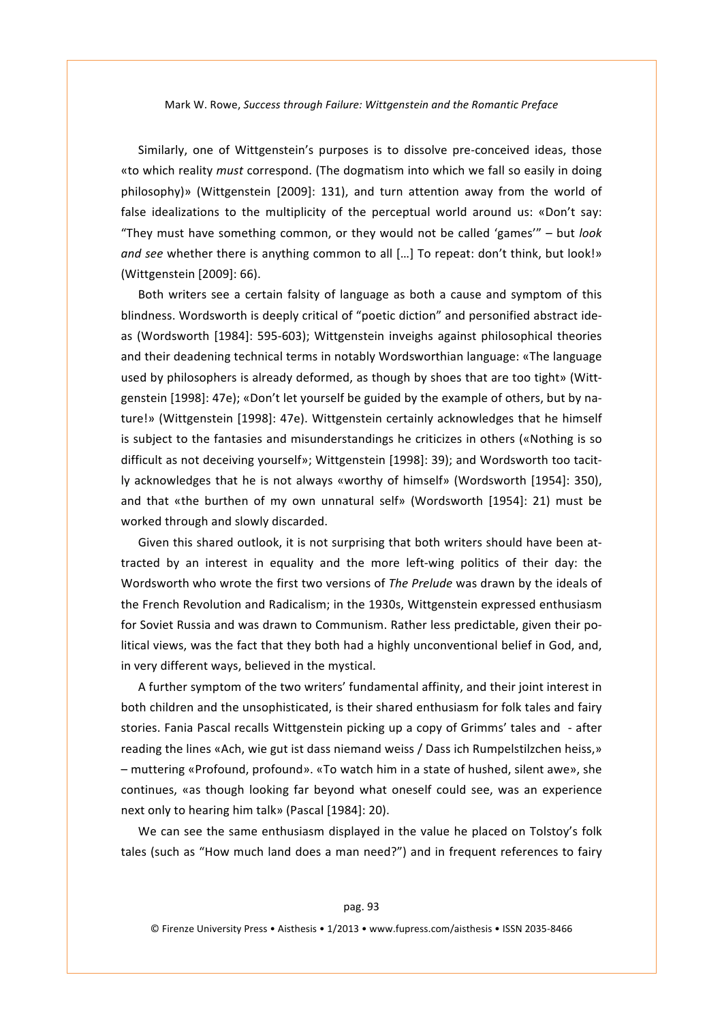Similarly, one of Wittgenstein's purposes is to dissolve pre-conceived ideas, those «to which reality *must* correspond. (The dogmatism into which we fall so easily in doing philosophy)» (Wittgenstein [2009]: 131), and turn attention away from the world of false idealizations to the multiplicity of the perceptual world around us: «Don't say: "They must have something common, or they would not be called 'games'" – but *look and see* whether there is anything common to all [...] To repeat: don't think, but look!» (Wittgenstein [2009]: 66).

Both writers see a certain falsity of language as both a cause and symptom of this blindness. Wordsworth is deeply critical of "poetic diction" and personified abstract ideas (Wordsworth [1984]: 595-603); Wittgenstein inveighs against philosophical theories and their deadening technical terms in notably Wordsworthian language: «The language used by philosophers is already deformed, as though by shoes that are too tight» (Wittgenstein [1998]: 47e); «Don't let yourself be guided by the example of others, but by nature!» (Wittgenstein [1998]: 47e). Wittgenstein certainly acknowledges that he himself is subject to the fantasies and misunderstandings he criticizes in others («Nothing is so difficult as not deceiving yourself»; Wittgenstein [1998]: 39); and Wordsworth too tacitly acknowledges that he is not always «worthy of himself» (Wordsworth [1954]: 350), and that «the burthen of my own unnatural self» (Wordsworth [1954]: 21) must be worked through and slowly discarded.

Given this shared outlook, it is not surprising that both writers should have been attracted by an interest in equality and the more left-wing politics of their day: the Wordsworth who wrote the first two versions of *The Prelude* was drawn by the ideals of the French Revolution and Radicalism; in the 1930s, Wittgenstein expressed enthusiasm for Soviet Russia and was drawn to Communism. Rather less predictable, given their political views, was the fact that they both had a highly unconventional belief in God, and, in very different ways, believed in the mystical.

A further symptom of the two writers' fundamental affinity, and their joint interest in both children and the unsophisticated, is their shared enthusiasm for folk tales and fairy stories. Fania Pascal recalls Wittgenstein picking up a copy of Grimms' tales and - after reading the lines «Ach, wie gut ist dass niemand weiss / Dass ich Rumpelstilzchen heiss,» – muttering «Profound, profound». «To watch him in a state of hushed, silent awe», she continues, «as though looking far beyond what oneself could see, was an experience next only to hearing him talk» (Pascal [1984]: 20).

We can see the same enthusiasm displayed in the value he placed on Tolstoy's folk tales (such as "How much land does a man need?") and in frequent references to fairy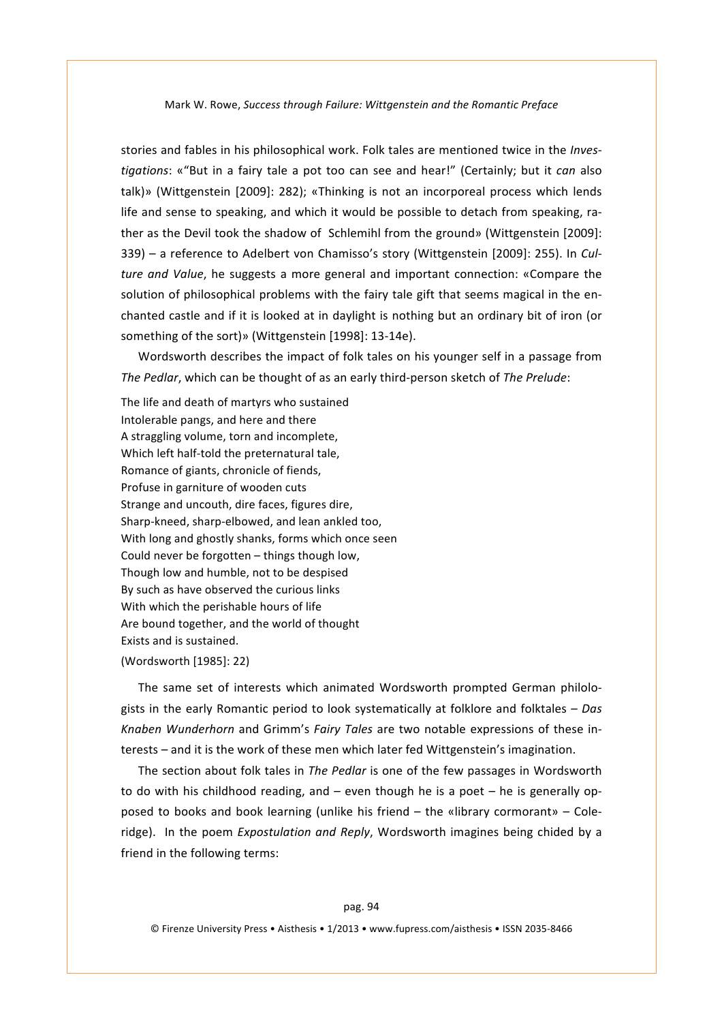stories and fables in his philosophical work. Folk tales are mentioned twice in the *Investigations*: «"But in a fairy tale a pot too can see and hear!" (Certainly; but it *can* also talk)» (Wittgenstein [2009]: 282); «Thinking is not an incorporeal process which lends life and sense to speaking, and which it would be possible to detach from speaking, rather as the Devil took the shadow of Schlemihl from the ground» (Wittgenstein [2009]: 339) - a reference to Adelbert von Chamisso's story (Wittgenstein [2009]: 255). In *Culture and Value*, he suggests a more general and important connection: «Compare the solution of philosophical problems with the fairy tale gift that seems magical in the enchanted castle and if it is looked at in daylight is nothing but an ordinary bit of iron (or something of the sort)» (Wittgenstein [1998]: 13-14e).

Wordsworth describes the impact of folk tales on his younger self in a passage from *The Pedlar*, which can be thought of as an early third-person sketch of *The Prelude*:

The life and death of martyrs who sustained Intolerable pangs, and here and there A straggling volume, torn and incomplete, Which left half-told the preternatural tale, Romance of giants, chronicle of fiends, Profuse in garniture of wooden cuts Strange and uncouth, dire faces, figures dire, Sharp-kneed, sharp-elbowed, and lean ankled too, With long and ghostly shanks, forms which once seen Could never be forgotten - things though low, Though low and humble, not to be despised By such as have observed the curious links With which the perishable hours of life Are bound together, and the world of thought Exists and is sustained.

#### (Wordsworth [1985]: 22)

The same set of interests which animated Wordsworth prompted German philologists in the early Romantic period to look systematically at folklore and folktales – *Das Knaben Wunderhorn* and Grimm's *Fairy Tales* are two notable expressions of these interests – and it is the work of these men which later fed Wittgenstein's imagination.

The section about folk tales in *The Pedlar* is one of the few passages in Wordsworth to do with his childhood reading, and – even though he is a poet – he is generally opposed to books and book learning (unlike his friend – the «library cormorant» – Coleridge). In the poem *Expostulation and Reply*, Wordsworth imagines being chided by a friend in the following terms: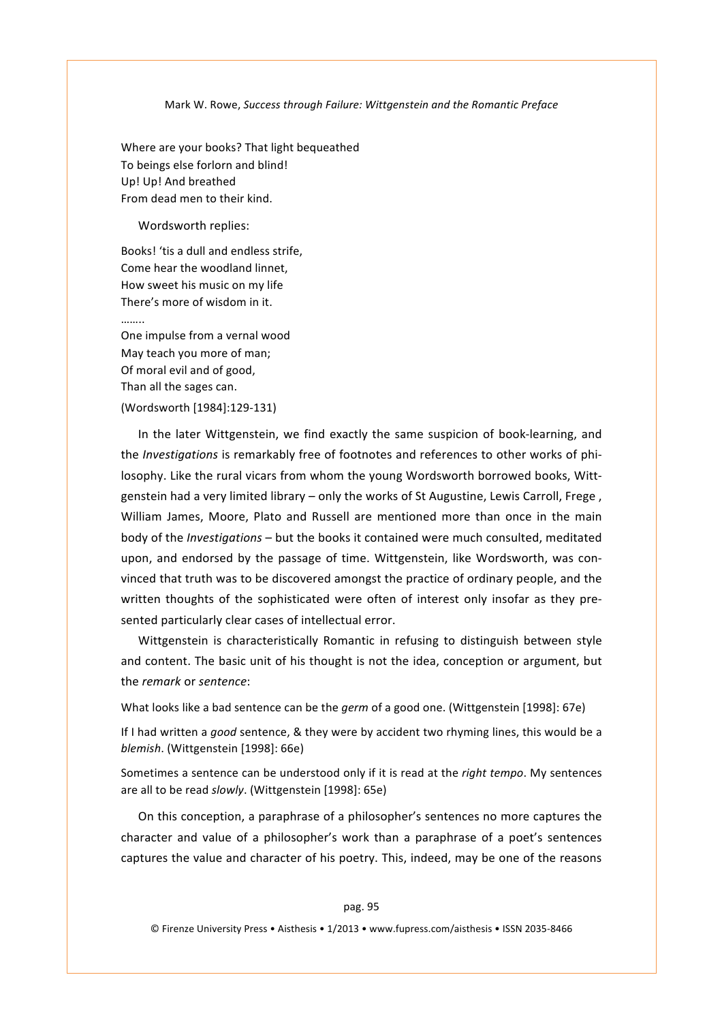Where are your books? That light bequeathed To beings else forlorn and blind! Up! Up! And breathed From dead men to their kind.

Wordsworth replies:

Books! 'tis a dull and endless strife. Come hear the woodland linnet, How sweet his music on my life There's more of wisdom in it. ……..

One impulse from a vernal wood May teach you more of man: Of moral evil and of good, Than all the sages can. (Wordsworth [1984]:129-131)

In the later Wittgenstein, we find exactly the same suspicion of book-learning, and the *Investigations* is remarkably free of footnotes and references to other works of philosophy. Like the rural vicars from whom the young Wordsworth borrowed books, Wittgenstein had a very limited library – only the works of St Augustine, Lewis Carroll, Frege, William James, Moore, Plato and Russell are mentioned more than once in the main body of the *Investigations* – but the books it contained were much consulted, meditated upon, and endorsed by the passage of time. Wittgenstein, like Wordsworth, was convinced that truth was to be discovered amongst the practice of ordinary people, and the written thoughts of the sophisticated were often of interest only insofar as they presented particularly clear cases of intellectual error.

Wittgenstein is characteristically Romantic in refusing to distinguish between style and content. The basic unit of his thought is not the idea, conception or argument, but the'*remark\**or'*sentence*:

What looks like a bad sentence can be the *germ* of a good one. (Wittgenstein [1998]: 67e)

If I had written a *good* sentence, & they were by accident two rhyming lines, this would be a *blemish.* (Wittgenstein [1998]: 66e)

Sometimes a sentence can be understood only if it is read at the *right tempo*. My sentences are all to be read *slowly*. (Wittgenstein [1998]: 65e)

On this conception, a paraphrase of a philosopher's sentences no more captures the character and value of a philosopher's work than a paraphrase of a poet's sentences captures the value and character of his poetry. This, indeed, may be one of the reasons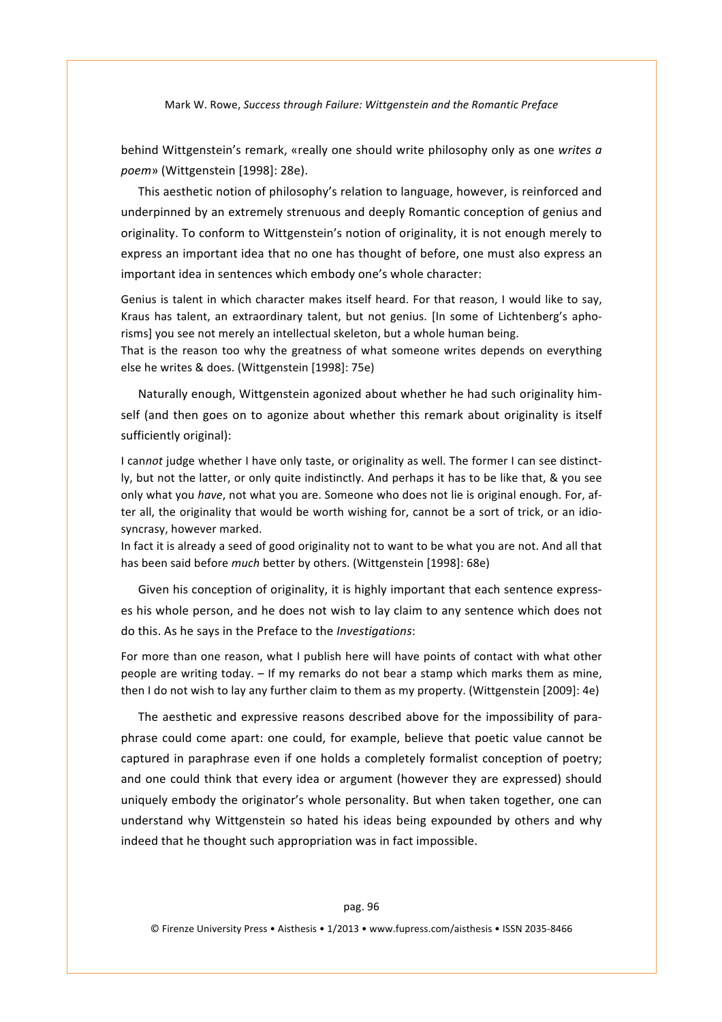behind Wittgenstein's remark, «really one should write philosophy only as one writes a poem» (Wittgenstein [1998]: 28e).

This aesthetic notion of philosophy's relation to language, however, is reinforced and underpinned by an extremely strenuous and deeply Romantic conception of genius and originality. To conform to Wittgenstein's notion of originality, it is not enough merely to express an important idea that no one has thought of before, one must also express an important idea in sentences which embody one's whole character:

Genius is talent in which character makes itself heard. For that reason, I would like to say, Kraus' has talent, an extraordinary talent, but not genius. In some of Lichtenberg's aphorisms] you see not merely an intellectual skeleton, but a whole human being.

That is the reason too why the greatness of what someone writes depends on everything else he writes & does. (Wittgenstein [1998]: 75e)

Naturally enough, Wittgenstein agonized about whether he had such originality himself (and then goes on to agonize about whether this remark about originality is itself sufficiently original):

I cannot judge whether I have only taste, or originality as well. The former I can see distinctly, but not the latter, or only quite indistinctly. And perhaps it has to be like that, & you see only what you *have*, not what you are. Someone who does not lie is original enough. For, after all, the originality that would be worth wishing for, cannot be a sort of trick, or an idiosyncrasy, however marked.

In fact it is already a seed of good originality not to want to be what you are not. And all that has been said before *much* better by others. (Wittgenstein [1998]: 68e)

Given his conception of originality, it is highly important that each sentence expresses his whole person, and he does not wish to lay claim to any sentence which does not do'this.'As'he'says'in'the'Preface'to'the'*Investigations*:

For more than one reason, what I publish here will have points of contact with what other people are writing today. - If my remarks do not bear a stamp which marks them as mine, then I do not wish to lay any further claim to them as my property. (Wittgenstein [2009]: 4e)

The aesthetic and expressive reasons described above for the impossibility of paraphrase could come apart: one could, for example, believe that poetic value cannot be captured in paraphrase even if one holds a completely formalist conception of poetry; and one could think that every idea or argument (however they are expressed) should uniquely embody the originator's whole personality. But when taken together, one can understand why Wittgenstein so hated his ideas being expounded by others and why indeed that he thought such appropriation was in fact impossible.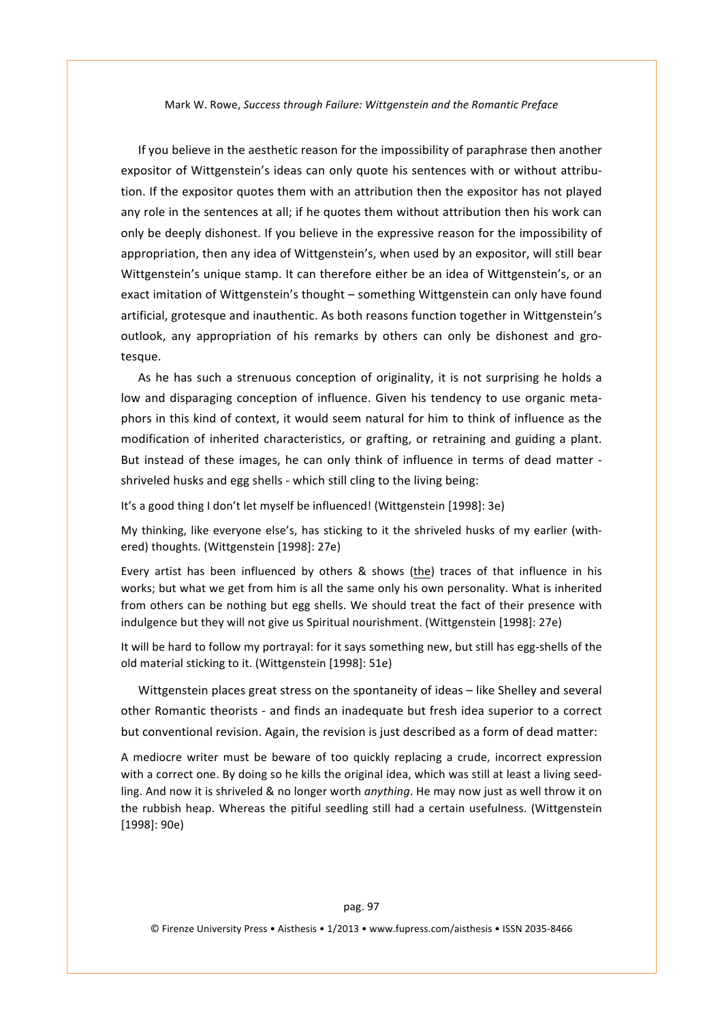If you believe in the aesthetic reason for the impossibility of paraphrase then another expositor of Wittgenstein's ideas can only quote his sentences with or without attribution. If the expositor quotes them with an attribution then the expositor has not played any role in the sentences at all; if he quotes them without attribution then his work can only be deeply dishonest. If you believe in the expressive reason for the impossibility of appropriation, then any idea of Wittgenstein's, when used by an expositor, will still bear Wittgenstein's unique stamp. It can therefore either be an idea of Wittgenstein's, or an exact imitation of Wittgenstein's thought – something Wittgenstein can only have found artificial, grotesque and inauthentic. As both reasons function together in Wittgenstein's outlook, any appropriation of his remarks by others can only be dishonest and grotesque.'

As he has such a strenuous conception of originality, it is not surprising he holds a low and disparaging conception of influence. Given his tendency to use organic metaphors in this kind of context, it would seem natural for him to think of influence as the modification of inherited characteristics, or grafting, or retraining and guiding a plant. But instead of these images, he can only think of influence in terms of dead matter shriveled husks and egg shells - which still cling to the living being:

It's a good thing I don't let myself be influenced! (Wittgenstein [1998]: 3e)

My thinking, like everyone else's, has sticking to it the shriveled husks of my earlier (withered) thoughts. (Wittgenstein [1998]: 27e)

Every artist has been influenced by others & shows (the) traces of that influence in his works; but what we get from him is all the same only his own personality. What is inherited from others can be nothing but egg shells. We should treat the fact of their presence with indulgence but they will not give us Spiritual nourishment. (Wittgenstein [1998]: 27e)

It will be hard to follow my portrayal: for it says something new, but still has egg-shells of the old material sticking to it. (Wittgenstein [1998]: 51e)

Wittgenstein places great stress on the spontaneity of ideas – like Shelley and several other Romantic theorists - and finds an inadequate but fresh idea superior to a correct but conventional revision. Again, the revision is just described as a form of dead matter:

A mediocre writer must be beware of too quickly replacing a crude, incorrect expression with a correct one. By doing so he kills the original idea, which was still at least a living seedling. And now it is shriveled & no longer worth *anything*. He may now just as well throw it on the rubbish heap. Whereas the pitiful seedling still had a certain usefulness. (Wittgenstein' [1998]: 90e)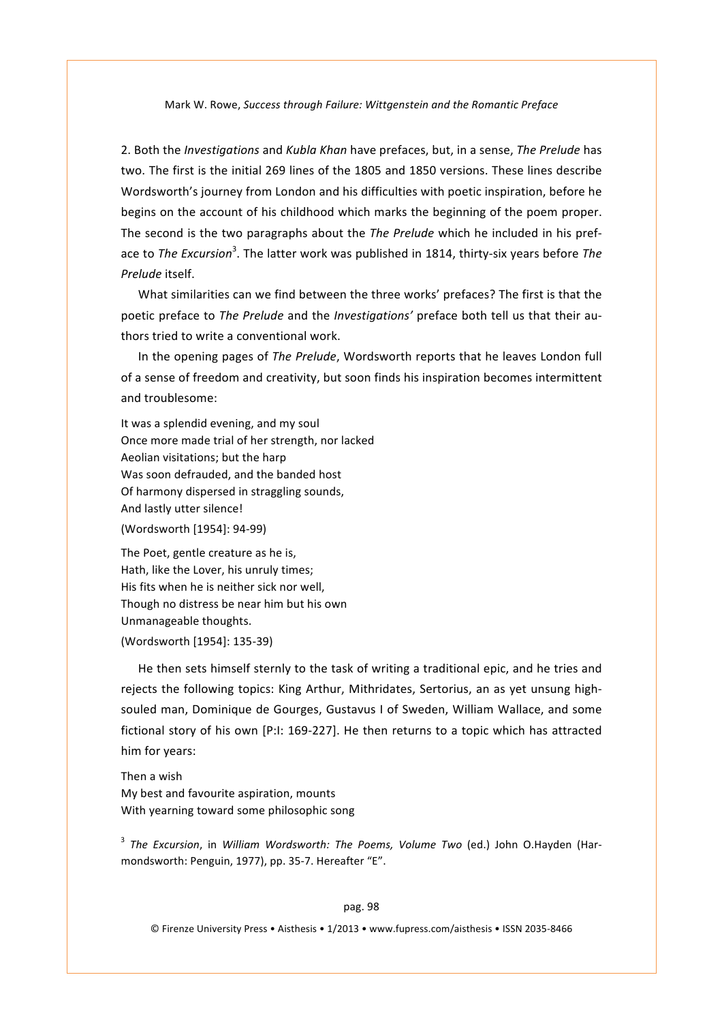2. Both the *Investigations* and *Kubla Khan* have prefaces, but, in a sense, *The Prelude* has two. The first is the initial 269 lines of the 1805 and 1850 versions. These lines describe Wordsworth's journey from London and his difficulties with poetic inspiration, before he begins on the account of his childhood which marks the beginning of the poem proper. The second is the two paragraphs about the *The Prelude* which he included in his preface to *The Excursion*<sup>3</sup>. The latter work was published in 1814, thirty-six years before *The Prelude* itself.

What similarities can we find between the three works' prefaces? The first is that the poetic preface to *The Prelude* and the *Investigations'* preface both tell us that their authors tried to write a conventional work.

In the opening pages of The Prelude, Wordsworth reports that he leaves London full of a sense of freedom and creativity, but soon finds his inspiration becomes intermittent and troublesome:

It was a splendid evening, and my soul Once more made trial of her strength, nor lacked Aeolian visitations; but the harp Was soon defrauded, and the banded host Of harmony dispersed in straggling sounds, And lastly utter silence! (Wordsworth [1954]: 94-99)

The Poet, gentle creature as he is. Hath, like the Lover, his unruly times; His fits when he is neither sick nor well, Though no distress be near him but his own Unmanageable thoughts.

#### (Wordsworth [1954]: 135-39)

He then sets himself sternly to the task of writing a traditional epic, and he tries and rejects the following topics: King Arthur, Mithridates, Sertorius, an as yet unsung highsouled man, Dominique de Gourges, Gustavus I of Sweden, William Wallace, and some fictional story of his own [P:I: 169-227]. He then returns to a topic which has attracted him for years:

Then a wish My best and favourite aspiration, mounts With yearning toward some philosophic song

<sup>3</sup> The Excursion, in William Wordsworth: The Poems, Volume Two (ed.) John O.Hayden (Harmondsworth: Penguin, 1977), pp. 35-7. Hereafter "E".

#### pag.'98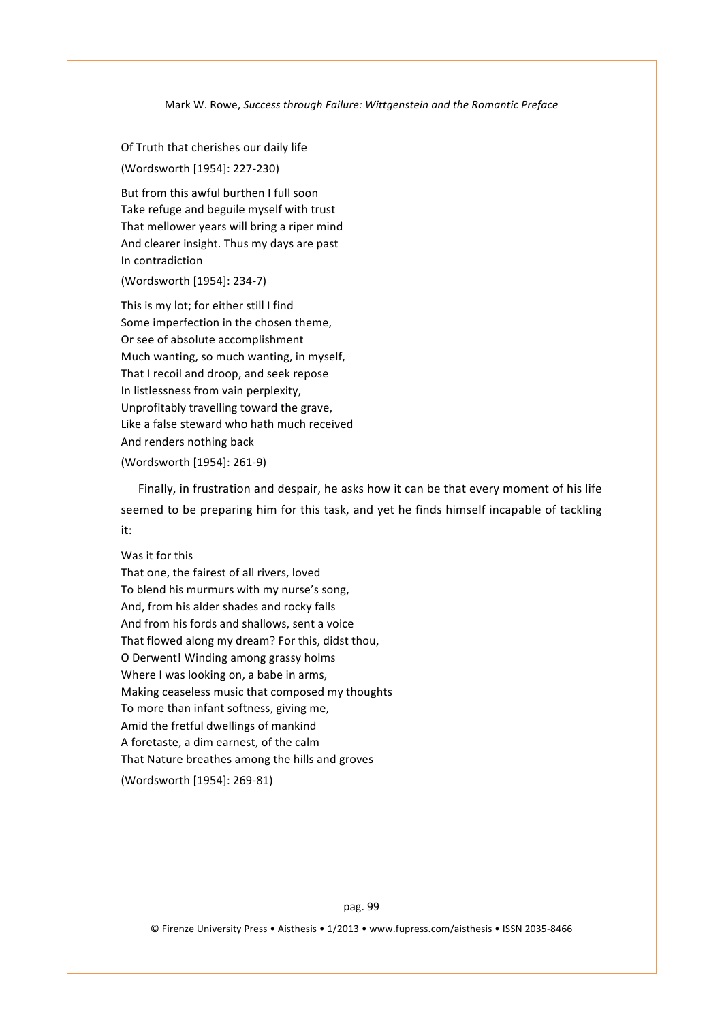Of Truth that cherishes our daily life (Wordsworth [1954]: 227-230)

But from this awful burthen I full soon Take refuge and beguile myself with trust That mellower years will bring a riper mind And clearer insight. Thus my days are past In contradiction

(Wordsworth [1954]: 234-7)

This is my lot; for either still I find Some imperfection in the chosen theme, Or see of absolute accomplishment Much wanting, so much wanting, in myself, That I recoil and droop, and seek repose In listlessness from vain perplexity, Unprofitably travelling toward the grave, Like a false steward who hath much received And renders nothing back (Wordsworth [1954]: 261-9)

Finally, in frustration and despair, he asks how it can be that every moment of his life seemed to be preparing him for this task, and yet he finds himself incapable of tackling it:

# Was it for this

That one, the fairest of all rivers, loved To blend his murmurs with my nurse's song, And, from his alder shades and rocky falls And from his fords and shallows, sent a voice That flowed along my dream? For this, didst thou, O Derwent! Winding among grassy holms Where I was looking on, a babe in arms, Making ceaseless music that composed my thoughts To more than infant softness, giving me, Amid the fretful dwellings of mankind A foretaste, a dim earnest, of the calm That Nature breathes among the hills and groves (Wordsworth [1954]: 269-81)

pag. 99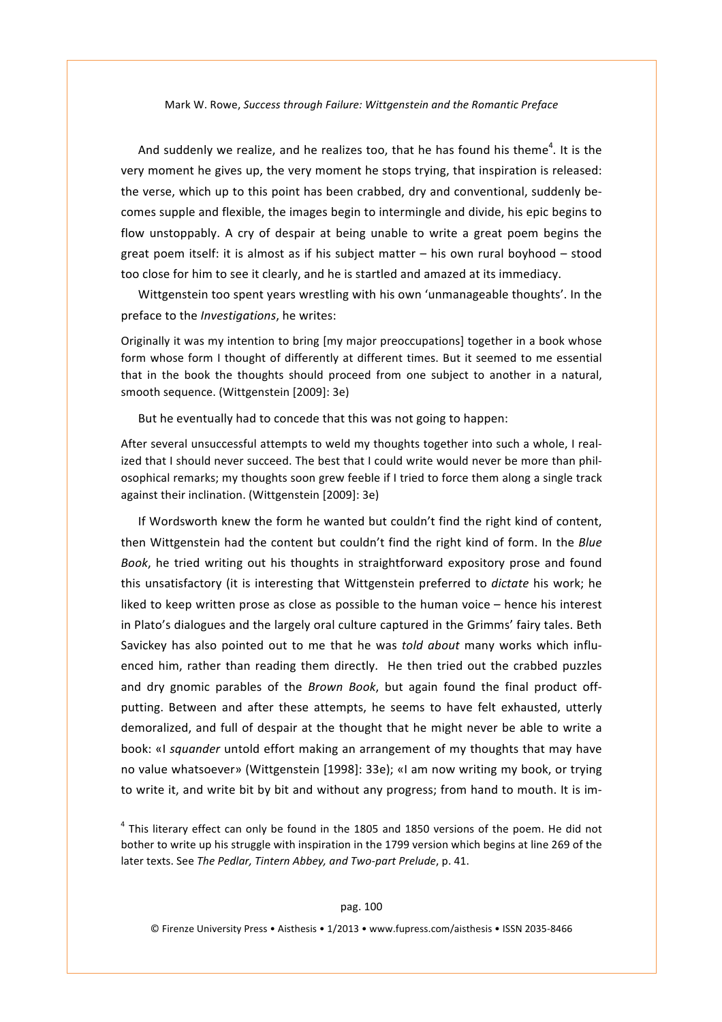And suddenly we realize, and he realizes too, that he has found his theme<sup>4</sup>. It is the very moment he gives up, the very moment he stops trying, that inspiration is released: the verse, which up to this point has been crabbed, dry and conventional, suddenly becomes supple and flexible, the images begin to intermingle and divide, his epic begins to flow unstoppably. A cry of despair at being unable to write a great poem begins the great poem itself: it is almost as if his subject matter – his own rural boyhood – stood too close for him to see it clearly, and he is startled and amazed at its immediacy.

Wittgenstein too spent years wrestling with his own 'unmanageable thoughts'. In the preface to the *Investigations*, he writes:

Originally it was my intention to bring [my major preoccupations] together in a book whose form whose form I thought of differently at different times. But it seemed to me essential that in the book the thoughts should proceed from one subject to another in a natural, smooth sequence. (Wittgenstein [2009]: 3e)

But he eventually had to concede that this was not going to happen:

After several unsuccessful attempts to weld my thoughts together into such a whole, I realized that I should never succeed. The best that I could write would never be more than philosophical remarks; my thoughts soon grew feeble if I tried to force them along a single track against their inclination. (Wittgenstein [2009]: 3e)

If Wordsworth knew the form he wanted but couldn't find the right kind of content, then' Wittgenstein' had the content but couldn't find the right kind of form. In the *Blue* Book, he tried writing out his thoughts in straightforward expository prose and found this unsatisfactory (it is interesting that Wittgenstein preferred to *dictate* his work; he liked to keep written prose as close as possible to the human voice – hence his interest in'Plato's dialogues and the largely oral culture captured in the Grimms' fairy tales. Beth Savickey has also pointed out to me that he was *told about* many works which influenced him, rather than reading them directly. He then tried out the crabbed puzzles and dry gnomic parables of the *Brown Book*, but again found the final product offputting. Between and after these attempts, he seems to have felt exhausted, utterly demoralized, and full of despair at the thought that he might never be able to write a book: «I *squander* untold effort making an arrangement of my thoughts that may have no value whatsoever» (Wittgenstein [1998]: 33e); «I am now writing my book, or trying to write it, and write bit by bit and without any progress; from hand to mouth. It is im-

 $4$  This literary effect can only be found in the 1805 and 1850 versions of the poem. He did not bother to write up his struggle with inspiration in the 1799 version which begins at line 269 of the later texts. See The Pedlar, Tintern Abbey, and Two-part Prelude, p. 41.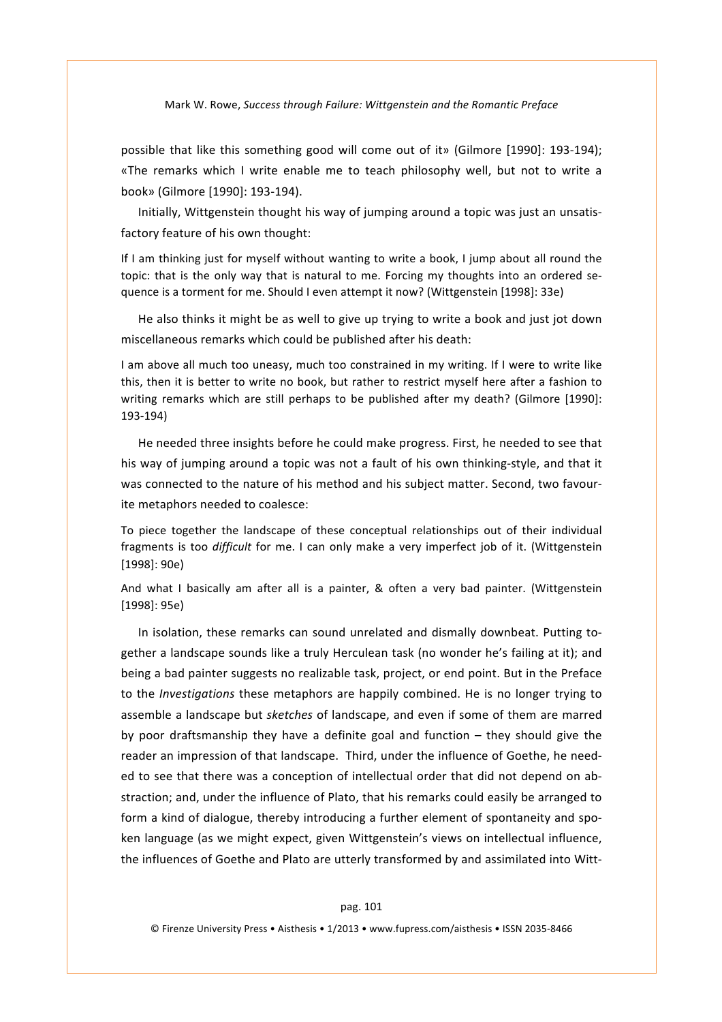possible that like this something good will come out of it» (Gilmore [1990]: 193-194); «The remarks which I write enable me to teach philosophy well, but not to write a book» (Gilmore [1990]: 193-194).

Initially, Wittgenstein thought his way of jumping around a topic was just an unsatisfactory feature of his own thought:

If I am thinking just for myself without wanting to write a book, I jump about all round the topic: that is the only way that is natural to me. Forcing my thoughts into an ordered sequence is a torment for me. Should I even attempt it now? (Wittgenstein [1998]: 33e)

He also thinks it might be as well to give up trying to write a book and just jot down miscellaneous remarks which could be published after his death:

I am above all much too uneasy, much too constrained in my writing. If I were to write like this, then it is better to write no book, but rather to restrict myself here after a fashion to writing remarks which are still perhaps to be published after my death? (Gilmore [1990]: 193-194)

He needed three insights before he could make progress. First, he needed to see that his way of jumping around a topic was not a fault of his own thinking-style, and that it was connected to the nature of his method and his subject matter. Second, two favourite metaphors needed to coalesce:

To piece together the landscape of these conceptual relationships out of their individual fragments is too *difficult* for me. I can only make a very imperfect job of it. (Wittgenstein  $[1998]$ : 90e)

And what I basically am after all is a painter, & often a very bad painter. (Wittgenstein [1998]: 95e)

In isolation, these remarks can sound unrelated and dismally downbeat. Putting together a landscape sounds like a truly Herculean task (no wonder he's failing at it); and being a bad painter suggests no realizable task, project, or end point. But in the Preface to the *Investigations* these metaphors are happily combined. He is no longer trying to assemble'a'landscape'but'*sketches\**of'landscape,'and'even'if'some'of'them'are'marred' by poor draftsmanship they have a definite goal and function – they should give the reader an impression of that landscape. Third, under the influence of Goethe, he needed to see that there was a conception of intellectual order that did not depend on abstraction; and, under the influence of Plato, that his remarks could easily be arranged to form a kind of dialogue, thereby introducing a further element of spontaneity and spoken language (as we might expect, given Wittgenstein's views on intellectual influence, the influences of Goethe and Plato are utterly transformed by and assimilated into Witt-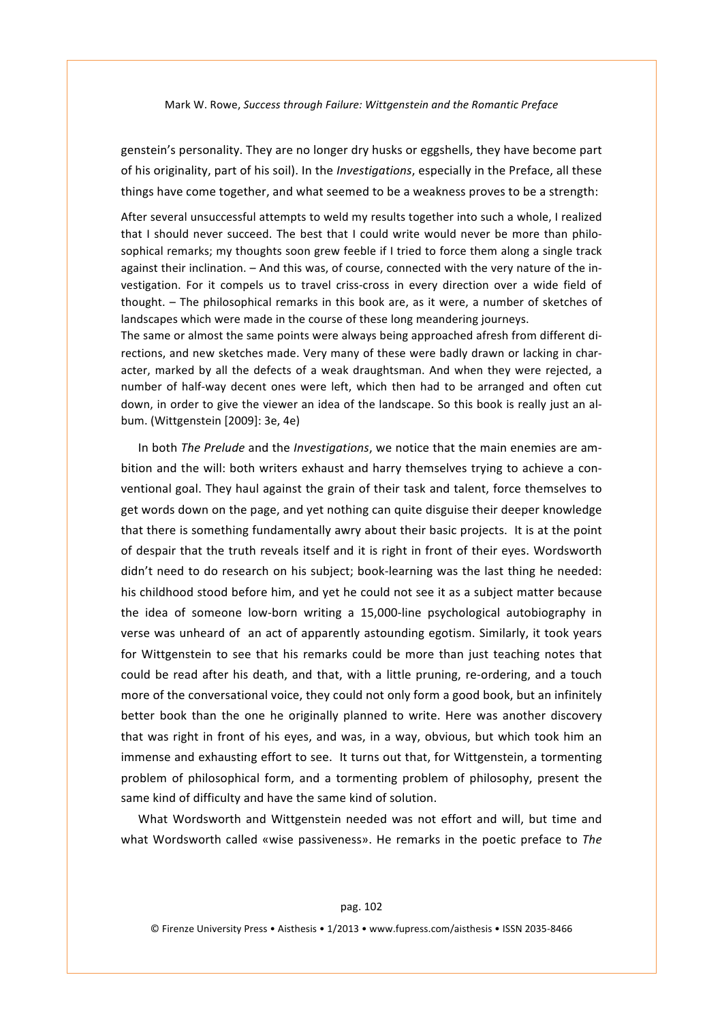genstein's personality. They are no longer dry husks or eggshells, they have become part of his originality, part of his soil). In the *Investigations*, especially in the Preface, all these things have come together, and what seemed to be a weakness proves to be a strength:

After several unsuccessful attempts to weld my results together into such a whole, I realized that I should never succeed. The best that I could write would never be more than philosophical remarks; my thoughts soon grew feeble if I tried to force them along a single track against their inclination. - And this was, of course, connected with the very nature of the investigation.' For it compels us to travel criss-cross in every direction over a wide field of thought. - The philosophical remarks in this book are, as it were, a number of sketches of landscapes which were made in the course of these long meandering journeys.

The same or almost the same points were always being approached afresh from different directions, and new sketches made. Very many of these were badly drawn or lacking in character, marked by all the defects of a weak draughtsman. And when they were rejected, a number of half-way decent ones were left, which then had to be arranged and often cut down, in order to give the viewer an idea of the landscape. So this book is really just an album. (Wittgenstein [2009]: 3e, 4e)

In both *The Prelude* and the *Investigations*, we notice that the main enemies are ambition and the will: both writers exhaust and harry themselves trying to achieve a conventional goal. They haul against the grain of their task and talent, force themselves to get words down on the page, and yet nothing can quite disguise their deeper knowledge that there is something fundamentally awry about their basic projects. It is at the point of despair that the truth reveals itself and it is right in front of their eyes. Wordsworth didn't need to do research on his subject; book-learning was the last thing he needed: his childhood stood before him, and vet he could not see it as a subject matter because the idea of someone low-born writing a 15,000-line psychological autobiography in verse was unheard of an act of apparently astounding egotism. Similarly, it took years for Wittgenstein to see that his remarks could be more than just teaching notes that could be read after his death, and that, with a little pruning, re-ordering, and a touch more of the conversational voice, they could not only form a good book, but an infinitely better book than the one he originally planned to write. Here was another discovery that was right in front of his eyes, and was, in a way, obvious, but which took him an immense and exhausting effort to see. It turns out that, for Wittgenstein, a tormenting problem of philosophical form, and a tormenting problem of philosophy, present the same kind of difficulty and have the same kind of solution.

What Wordsworth and Wittgenstein needed was not effort and will, but time and what Wordsworth called «wise passiveness». He remarks in the poetic preface to *The*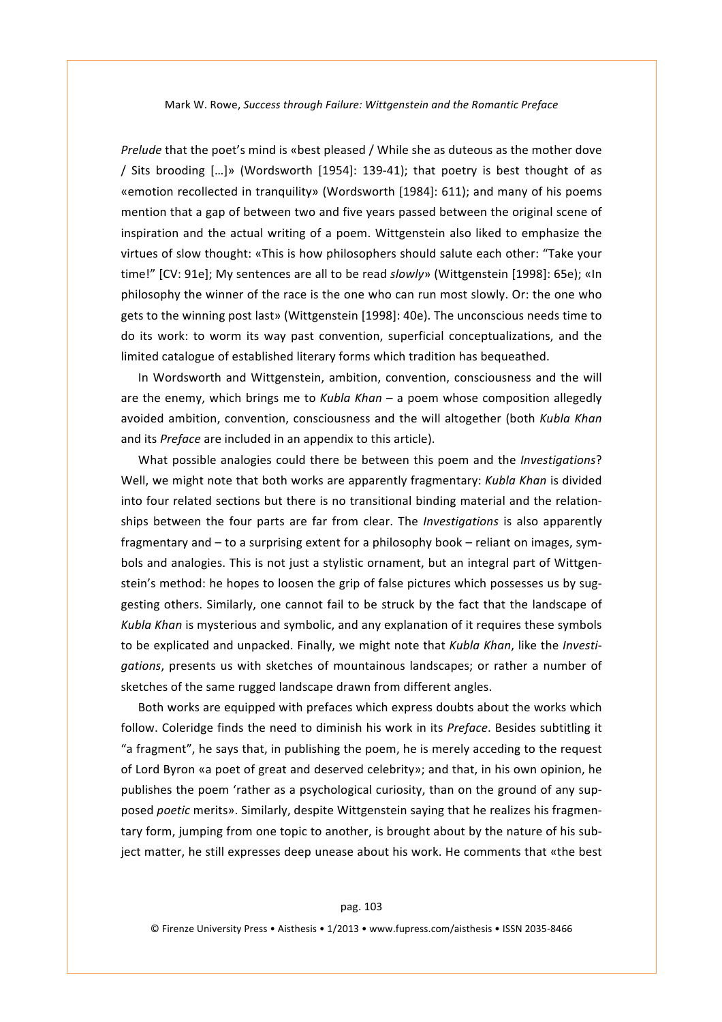*Prelude* that the poet's mind is «best pleased / While she as duteous as the mother dove / Sits brooding  $[...]$ » (Wordsworth  $[1954]$ : 139-41); that poetry is best thought of as «emotion recollected in tranquility» (Wordsworth [1984]: 611); and many of his poems mention that a gap of between two and five years passed between the original scene of inspiration and the actual writing of a poem. Wittgenstein also liked to emphasize the virtues of slow thought: «This is how philosophers should salute each other: "Take your time!" [CV: 91e]; My sentences are all to be read *slowly*» (Wittgenstein [1998]: 65e); «In philosophy the winner of the race is the one who can run most slowly. Or: the one who gets to the winning post last» (Wittgenstein [1998]: 40e). The unconscious needs time to do its work: to worm its way past convention, superficial conceptualizations, and the limited catalogue of established literary forms which tradition has bequeathed.

In Wordsworth and Wittgenstein, ambition, convention, consciousness and the will are the enemy, which brings me to *Kubla Khan* – a poem whose composition allegedly avoided ambition, convention, consciousness and the will altogether (both *Kubla Khan*) and its *Preface* are included in an appendix to this article).

What possible analogies could there be between this poem and the *Investigations*? Well, we might note that both works are apparently fragmentary: *Kubla Khan* is divided into four related sections but there is no transitional binding material and the relationships between the four parts are far from clear. The *Investigations* is also apparently fragmentary and – to a surprising extent for a philosophy book – reliant on images, symbols and analogies. This is not just a stylistic ornament, but an integral part of Wittgenstein's method: he hopes to loosen the grip of false pictures which possesses us by suggesting others. Similarly, one cannot fail to be struck by the fact that the landscape of Kubla Khan is mysterious and symbolic, and any explanation of it requires these symbols to be explicated and unpacked. Finally, we might note that *Kubla Khan*, like the *Investigations*, presents us with sketches of mountainous landscapes; or rather a number of sketches of the same rugged landscape drawn from different angles.

Both works are equipped with prefaces which express doubts about the works which follow. Coleridge finds the need to diminish his work in its *Preface*. Besides subtitling it "a fragment", he says that, in publishing the poem, he is merely acceding to the request of Lord Byron «a poet of great and deserved celebrity»; and that, in his own opinion, he publishes the poem 'rather as a psychological curiosity, than on the ground of any supposed *poetic* merits». Similarly, despite Wittgenstein saying that he realizes his fragmentary form, jumping from one topic to another, is brought about by the nature of his subject matter, he still expresses deep unease about his work. He comments that «the best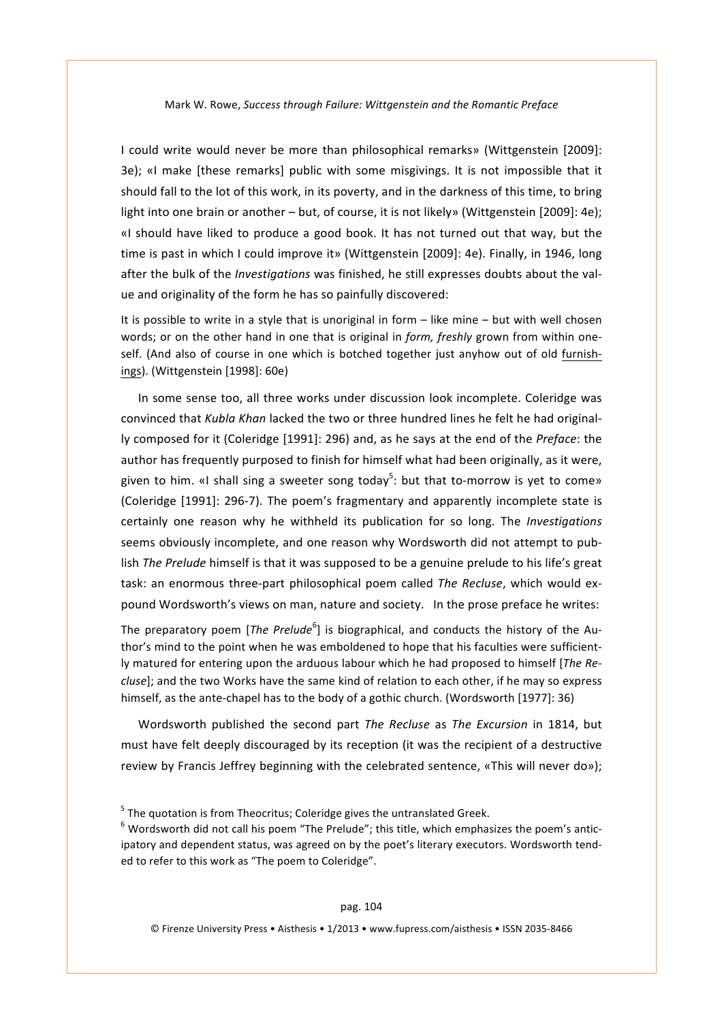I could write would never be more than philosophical remarks» (Wittgenstein [2009]: 3e); «I make [these remarks] public with some misgivings. It is not impossible that it should fall to the lot of this work, in its poverty, and in the darkness of this time, to bring light into one brain or another – but, of course, it is not likely» (Wittgenstein [2009]: 4e); «I should have liked to produce a good book. It has not turned out that way, but the time is past in which I could improve it» (Wittgenstein [2009]: 4e). Finally, in 1946, long after the bulk of the *Investigations* was finished, he still expresses doubts about the value and originality of the form he has so painfully discovered:

It is possible to write in a style that is unoriginal in form – like mine – but with well chosen' words; or on the other hand in one that is original in *form, freshly* grown from within oneself. (And also of course in one which is botched together just anyhow out of old furnishings). (Wittgenstein [1998]: 60e)

In some sense too, all three works under discussion look incomplete. Coleridge was convinced that *Kubla Khan* lacked the two or three hundred lines he felt he had originally composed for it (Coleridge [1991]: 296) and, as he says at the end of the *Preface*: the author has frequently purposed to finish for himself what had been originally, as it were, given to him. «I shall sing a sweeter song today<sup>5</sup>: but that to-morrow is yet to come» (Coleridge [1991]: 296-7). The poem's fragmentary and apparently incomplete state is certainly' one' reason' why' he' withheld' its' publication' for' so' long.' The' *Investigations* seems obviously incomplete, and one reason why Wordsworth did not attempt to publish *The Prelude* himself is that it was supposed to be a genuine prelude to his life's great task: an enormous three-part philosophical poem called *The Recluse*, which would expound Wordsworth's views on man, nature and society. In the prose preface he writes:

The preparatory poem [*The Prelude*<sup>6</sup>] is biographical, and conducts the history of the Author's mind to the point when he was emboldened to hope that his faculties were sufficiently matured for entering upon the arduous labour which he had proposed to himself [*The Recluse*]; and the two Works have the same kind of relation to each other, if he may so express himself, as the ante-chapel has to the body of a gothic church. (Wordsworth [1977]: 36)

Wordsworth published the second part *The Recluse* as *The Excursion* in 1814, but must have felt deeply discouraged by its reception (it was the recipient of a destructive review by Francis Jeffrey beginning with the celebrated sentence, «This will never do»);

 $5$  The quotation is from Theocritus; Coleridge gives the untranslated Greek.

 $6$  Wordsworth did not call his poem "The Prelude"; this title, which emphasizes the poem's anticipatory and dependent status, was agreed on by the poet's literary executors. Wordsworth tended to refer to this work as "The poem to Coleridge".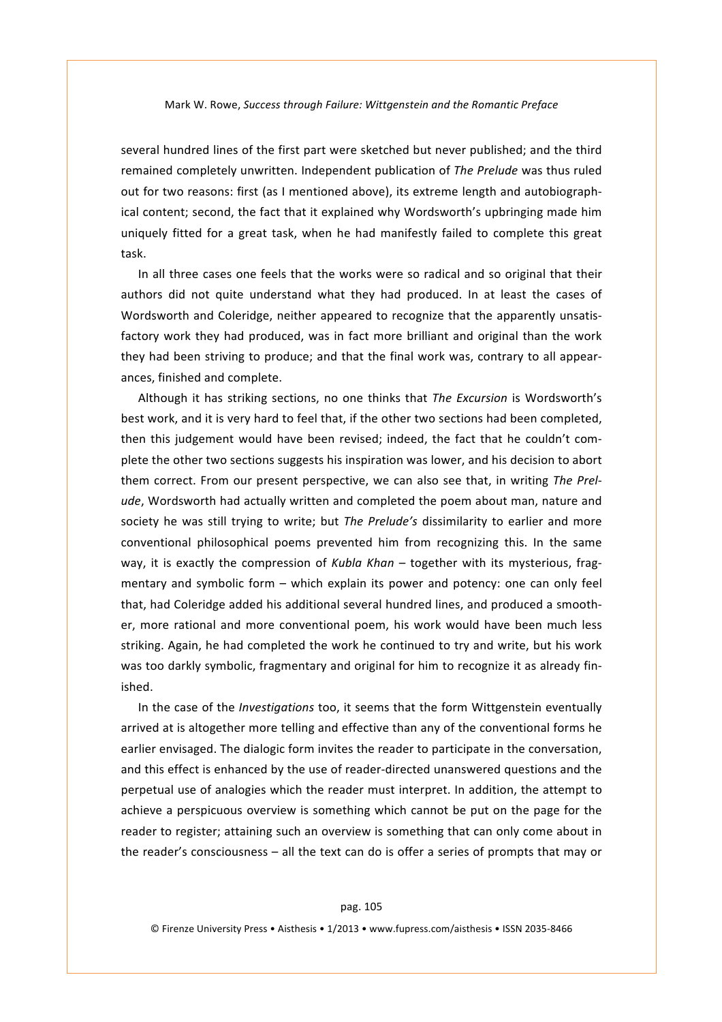several hundred lines of the first part were sketched but never published; and the third remained completely unwritten. Independent publication of The Prelude was thus ruled out for two reasons: first (as I mentioned above), its extreme length and autobiographical content; second, the fact that it explained why Wordsworth's upbringing made him uniquely fitted for a great task, when he had manifestly failed to complete this great task.'

In all three cases one feels that the works were so radical and so original that their authors did not quite understand what they had produced. In at least the cases of Wordsworth and Coleridge, neither appeared to recognize that the apparently unsatisfactory work they had produced, was in fact more brilliant and original than the work they had been striving to produce; and that the final work was, contrary to all appearances, finished and complete.

Although it has striking sections, no one thinks that The Excursion is Wordsworth's best work, and it is very hard to feel that, if the other two sections had been completed, then this judgement would have been revised; indeed, the fact that he couldn't complete the other two sections suggests his inspiration was lower, and his decision to abort them correct. From our present perspective, we can also see that, in writing The Prelude. Wordsworth had actually written and completed the poem about man, nature and society he was still trying to write; but The Prelude's dissimilarity to earlier and more conventional philosophical poems prevented him from recognizing this. In the same way, it is exactly the compression of *Kubla Khan* – together with its mysterious, fragmentary and symbolic form – which explain its power and potency: one can only feel that, had Coleridge added his additional several hundred lines, and produced a smoother, more rational and more conventional poem, his work would have been much less striking. Again, he had completed the work he continued to try and write, but his work was too darkly symbolic, fragmentary and original for him to recognize it as already finished.'

In the case of the *Investigations* too, it seems that the form Wittgenstein eventually arrived at is altogether more telling and effective than any of the conventional forms he earlier envisaged. The dialogic form invites the reader to participate in the conversation, and this effect is enhanced by the use of reader-directed unanswered questions and the perpetual use of analogies which the reader must interpret. In addition, the attempt to achieve a perspicuous overview is something which cannot be put on the page for the reader to register; attaining such an overview is something that can only come about in the reader's consciousness – all the text can do is offer a series of prompts that may or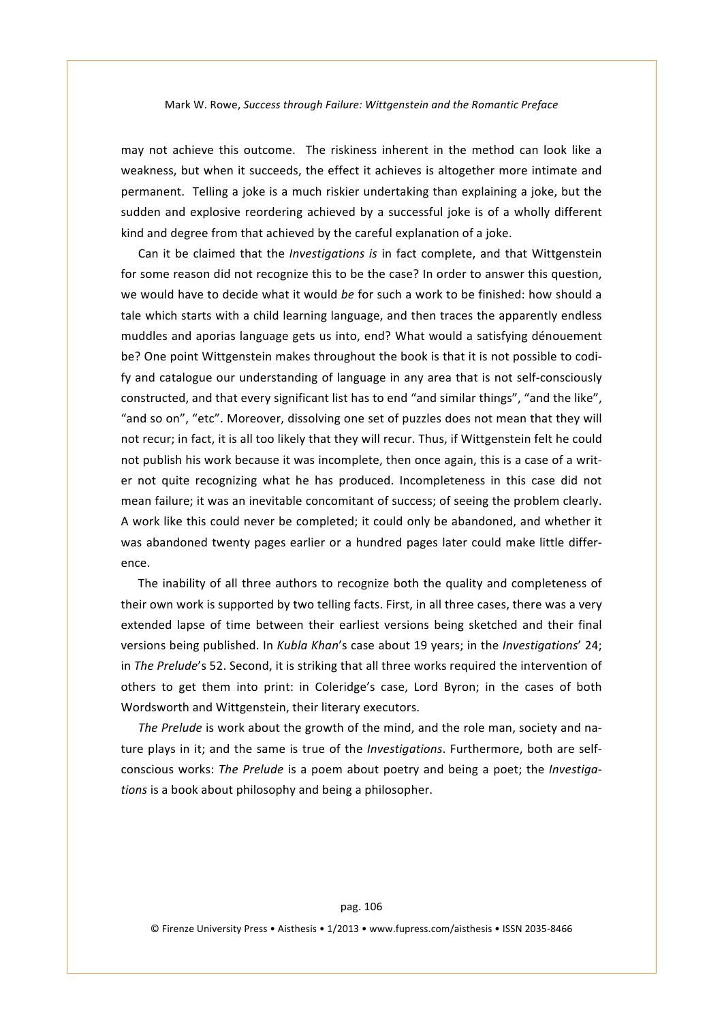may not achieve this outcome. The riskiness inherent in the method can look like a weakness, but when it succeeds, the effect it achieves is altogether more intimate and permanent. Telling a joke is a much riskier undertaking than explaining a joke, but the sudden and explosive reordering achieved by a successful joke is of a wholly different kind and degree from that achieved by the careful explanation of a joke.

Can it be claimed that the *Investigations is* in fact complete, and that Wittgenstein for some reason did not recognize this to be the case? In order to answer this question, we'would have to decide what it would *be* for such a work to be finished: how should a tale which starts with a child learning language, and then traces the apparently endless muddles and aporias language gets us into, end? What would a satisfying dénouement be? One point Wittgenstein makes throughout the book is that it is not possible to codify and catalogue our understanding of language in any area that is not self-consciously constructed, and that every significant list has to end "and similar things", "and the like", "and so on", "etc". Moreover, dissolving one set of puzzles does not mean that they will not recur; in fact, it is all too likely that they will recur. Thus, if Wittgenstein felt he could not publish his work because it was incomplete, then once again, this is a case of a writer not quite recognizing what he has produced. Incompleteness in this case did not mean failure; it was an inevitable concomitant of success; of seeing the problem clearly. A work like this could never be completed; it could only be abandoned, and whether it was abandoned twenty pages earlier or a hundred pages later could make little difference.

The inability of all three authors to recognize both the quality and completeness of their own work is supported by two telling facts. First, in all three cases, there was a very extended lapse of time between their earliest versions being sketched and their final versions being published. In *Kubla Khan's* case about 19 years; in the *Investigations'* 24; in The Prelude's 52. Second, it is striking that all three works required the intervention of others to get them into print: in Coleridge's case, Lord Byron; in the cases of both Wordsworth and Wittgenstein, their literary executors.

*The Prelude* is work about the growth of the mind, and the role man, society and nature plays in it; and the same is true of the *Investigations*. Furthermore, both are selfconscious works: The Prelude is a poem about poetry and being a poet; the *Investigations* is a book about philosophy and being a philosopher.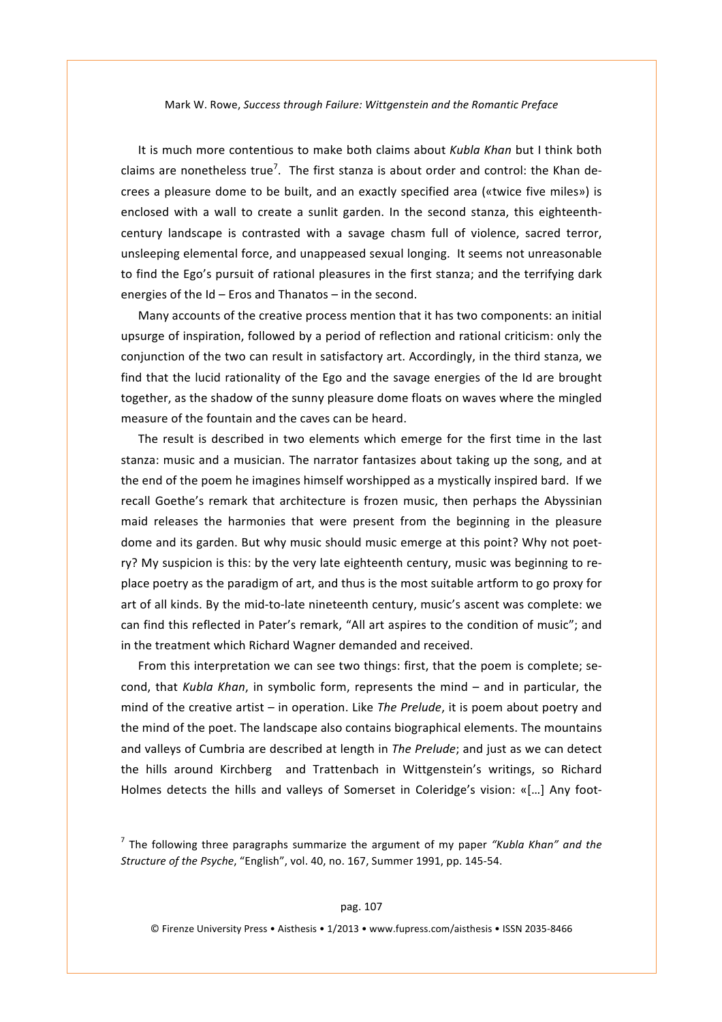It is much more contentious to make both claims about *Kubla Khan* but I think both claims are nonetheless true<sup>7</sup>. The first stanza is about order and control: the Khan decrees a pleasure dome to be built, and an exactly specified area («twice five miles») is enclosed with a wall to create a sunlit garden. In the second stanza, this eighteenthcentury landscape is contrasted with a savage chasm full of violence, sacred terror, unsleeping elemental force, and unappeased sexual longing. It seems not unreasonable to find the Ego's pursuit of rational pleasures in the first stanza; and the terrifying dark energies of the  $Id$  – Eros and Thanatos – in the second.

Many accounts of the creative process mention that it has two components: an initial upsurge of inspiration, followed by a period of reflection and rational criticism: only the conjunction of the two can result in satisfactory art. Accordingly, in the third stanza, we find that the lucid rationality of the Ego and the savage energies of the Id are brought together, as the shadow of the sunny pleasure dome floats on waves where the mingled measure of the fountain and the caves can be heard.

The result is described in two elements which emerge for the first time in the last stanza: music and a musician. The narrator fantasizes about taking up the song, and at the end of the poem he imagines himself worshipped as a mystically inspired bard. If we recall Goethe's remark that architecture is frozen music, then perhaps the Abyssinian' maid releases the harmonies that were present from the beginning in the pleasure dome and its garden. But why music should music emerge at this point? Why not poetry? My suspicion is this: by the very late eighteenth century, music was beginning to replace poetry as the paradigm of art, and thus is the most suitable artform to go proxy for art of all kinds. By the mid-to-late nineteenth century, music's ascent was complete: we can find this reflected in Pater's remark, "All art aspires to the condition of music"; and in the treatment which Richard Wagner demanded and received.

From this interpretation we can see two things: first, that the poem is complete; second, that *Kubla Khan*, in symbolic form, represents the mind – and in particular, the mind of the creative artist – in operation. Like The Prelude, it is poem about poetry and the mind of the poet. The landscape also contains biographical elements. The mountains' and valleys of Cumbria are described at length in *The Prelude*; and just as we can detect the hills around Kirchberg and Trattenbach in Wittgenstein's writings, so Richard Holmes detects the hills and valleys of Somerset in Coleridge's vision: «[...] Any foot-

 $<sup>7</sup>$  The following three paragraphs summarize the argument of my paper *"Kubla Khan" and the*</sup> *Structure of the Psyche, "English", vol.* 40, no. 167, Summer 1991, pp. 145-54.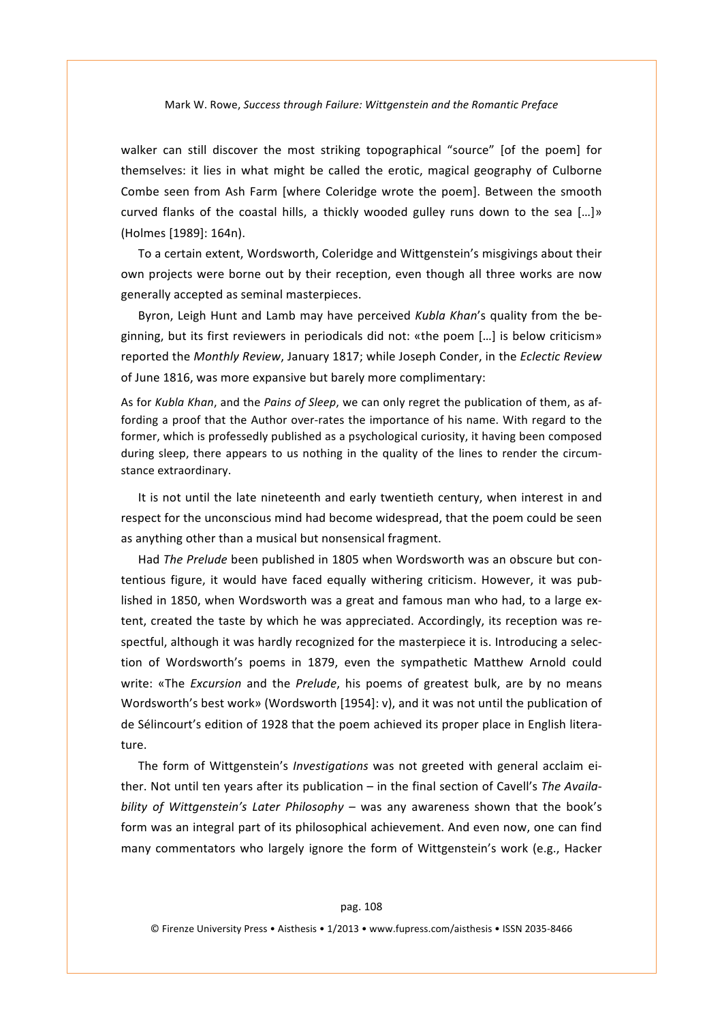walker can still discover the most striking topographical "source" [of the poem] for themselves: it lies in what might be called the erotic, magical geography of Culborne Combe seen from Ash Farm [where Coleridge wrote the poem]. Between the smooth curved flanks of the coastal hills, a thickly wooded gulley runs down to the sea [...]» (Holmes [1989]: 164n).

To a certain extent, Wordsworth, Coleridge and Wittgenstein's misgivings about their own projects were borne out by their reception, even though all three works are now generally accepted as seminal masterpieces.

Byron, Leigh Hunt and Lamb may have perceived *Kubla Khan's* quality from the beginning, but its first reviewers in periodicals did not: «the poem [...] is below criticism» reported'the'*Monthly\*Review*,'January'1817; while'Joseph'Conder,'in'the'*Eclectic\*Review* of June 1816, was more expansive but barely more complimentary:

As for *Kubla Khan*, and the *Pains of Sleep*, we can only regret the publication of them, as affording a proof that the Author over-rates the importance of his name. With regard to the former, which is professedly published as a psychological curiosity, it having been composed during sleep, there appears to us nothing in the quality of the lines to render the circumstance extraordinary.

It is not until the late nineteenth and early twentieth century, when interest in and respect for the unconscious mind had become widespread, that the poem could be seen as anything other than a musical but nonsensical fragment.

Had *The Prelude* been published in 1805 when Wordsworth was an obscure but contentious figure, it would have faced equally withering criticism. However, it was published in 1850, when Wordsworth was a great and famous man who had, to a large extent, created the taste by which he was appreciated. Accordingly, its reception was respectful, although it was hardly recognized for the masterpiece it is. Introducing a selection of Wordsworth's poems in 1879, even the sympathetic Matthew Arnold could write: «The *Excursion* and the *Prelude*, his poems of greatest bulk, are by no means Wordsworth's best work» (Wordsworth [1954]: v), and it was not until the publication of de Sélincourt's edition of 1928 that the poem achieved its proper place in English literature.

The form of Wittgenstein's *Investigations* was not greeted with general acclaim either. Not until ten years after its publication – in the final section of Cavell's The Availa*bility of Wittgenstein's Later Philosophy* – was any awareness shown that the book's form was an integral part of its philosophical achievement. And even now, one can find many commentators who largely ignore the form of Wittgenstein's work (e.g., Hacker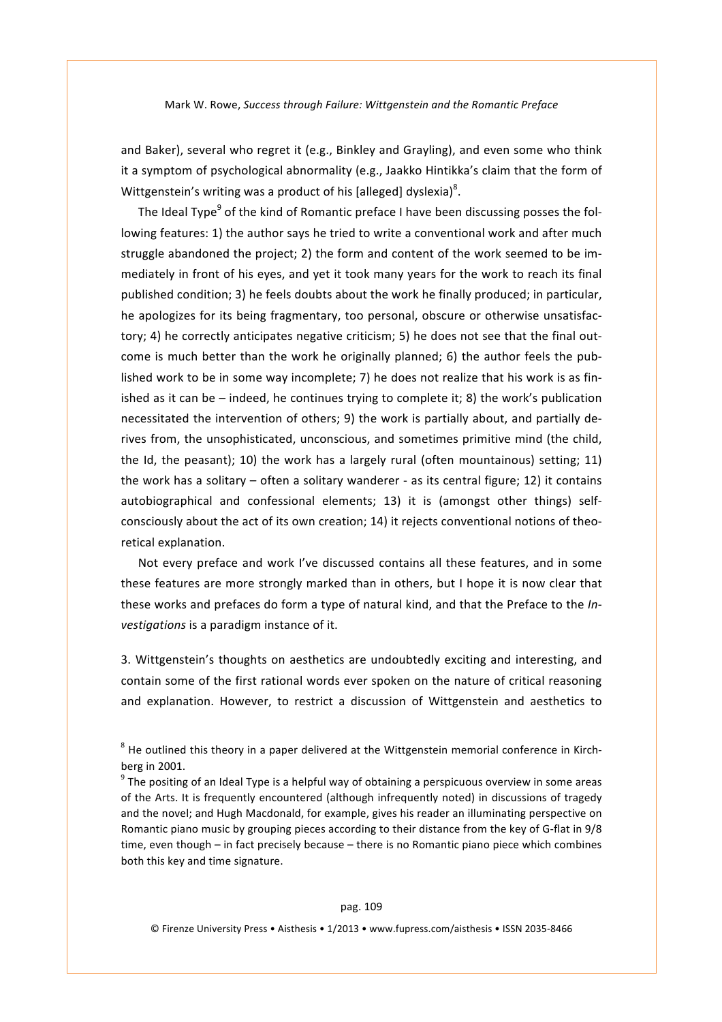and Baker), several who regret it (e.g., Binkley and Grayling), and even some who think it a symptom of psychological abnormality (e.g., Jaakko Hintikka's claim that the form of Wittgenstein's writing was a product of his [alleged] dyslexia)<sup>8</sup>.

The Ideal Type<sup>9</sup> of the kind of Romantic preface I have been discussing posses the following features: 1) the author says he tried to write a conventional work and after much struggle abandoned the project; 2) the form and content of the work seemed to be immediately in front of his eyes, and yet it took many years for the work to reach its final published condition; 3) he feels doubts about the work he finally produced; in particular, he apologizes for its being fragmentary, too personal, obscure or otherwise unsatisfactory; 4) he correctly anticipates negative criticism; 5) he does not see that the final outcome is much better than the work he originally planned; 6) the author feels the published work to be in some way incomplete; 7) he does not realize that his work is as finished as it can be – indeed, he continues trying to complete it; 8) the work's publication necessitated the intervention of others; 9) the work is partially about, and partially derives from, the unsophisticated, unconscious, and sometimes primitive mind (the child, the  $Id$ , the peasant); 10) the work has a largely rural (often mountainous) setting; 11) the work has a solitary – often a solitary wanderer - as its central figure; 12) it contains autobiographical and confessional elements; 13) it is (amongst other things) selfconsciously about the act of its own creation; 14) it rejects conventional notions of theoretical explanation.

Not every preface and work I've discussed contains all these features, and in some these features are more strongly marked than in others, but I hope it is now clear that these works and prefaces do form a type of natural kind, and that the Preface to the *In*vestigations is a paradigm instance of it.

3. Wittgenstein's thoughts on aesthetics are undoubtedly exciting and interesting, and contain'some of the first rational words ever spoken on the nature of critical reasoning and explanation. However, to restrict a discussion of Wittgenstein and aesthetics to

 $8$  He outlined this theory in a paper delivered at the Wittgenstein memorial conference in Kirchberg in 2001.

<sup>9</sup> The positing of an Ideal Type is a helpful way of obtaining a perspicuous overview in some areas of the Arts. It is frequently encountered (although infrequently noted) in discussions of tragedy and the novel; and Hugh Macdonald, for example, gives his reader an illuminating perspective on Romantic piano music by grouping pieces according to their distance from the key of G-flat in 9/8 time, even though – in fact precisely because – there is no Romantic piano piece which combines both this key and time signature.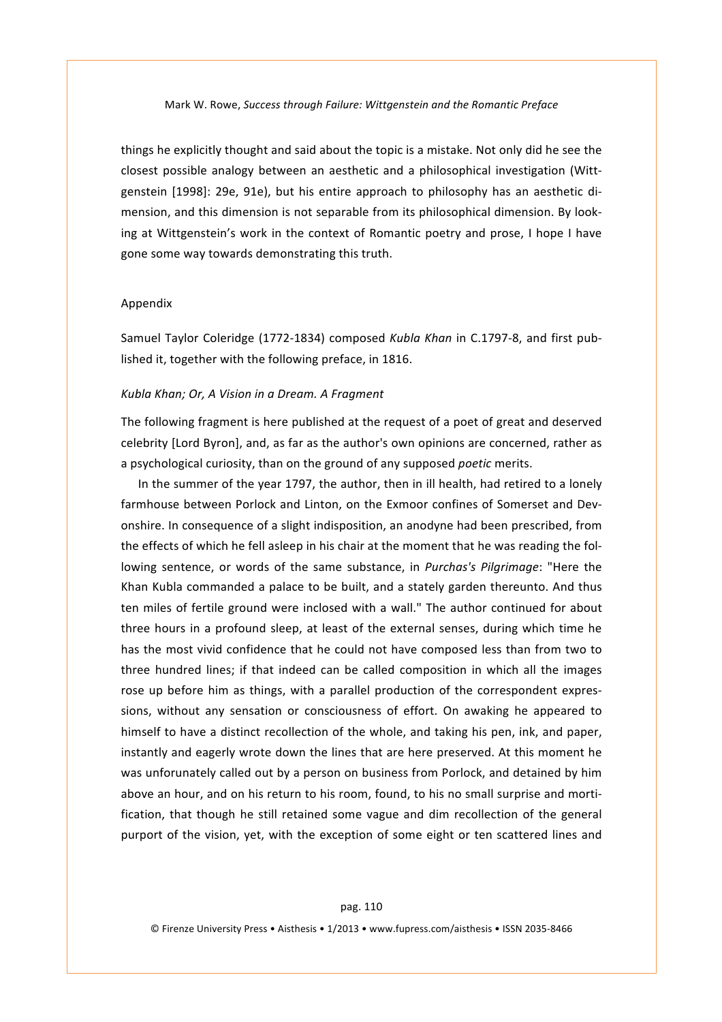things he explicitly thought and said about the topic is a mistake. Not only did he see the closest possible analogy between an aesthetic and a philosophical investigation (Wittgenstein [1998]: 29e, 91e), but his entire approach to philosophy has an aesthetic dimension, and this dimension is not separable from its philosophical dimension. By looking at Wittgenstein's work in the context of Romantic poetry and prose, I hope I have gone some way towards demonstrating this truth.

## Appendix

Samuel Taylor Coleridge (1772-1834) composed *Kubla Khan* in C.1797-8, and first published it, together with the following preface, in 1816.

#### *Kubla\*Khan;\*Or,\*A\*Vision\*in\*a\*Dream.\*A\*Fragment*

The following fragment is here published at the request of a poet of great and deserved celebrity [Lord Byron], and, as far as the author's own opinions are concerned, rather as a psychological curiosity, than on the ground of any supposed poetic merits.

In the summer of the year 1797, the author, then in ill health, had retired to a lonely farmhouse between Porlock and Linton, on the Exmoor confines of Somerset and Devonshire. In consequence of a slight indisposition, an anodyne had been prescribed, from the effects of which he fell asleep in his chair at the moment that he was reading the following sentence, or words of the same substance, in *Purchas's Pilgrimage*: "Here the Khan Kubla commanded a palace to be built, and a stately garden thereunto. And thus ten miles of fertile ground were inclosed with a wall." The author continued for about three hours in a profound sleep, at least of the external senses, during which time he has the most vivid confidence that he could not have composed less than from two to three hundred lines; if that indeed can be called composition in which all the images rose up before him as things, with a parallel production of the correspondent expressions, without any sensation or consciousness of effort. On awaking he appeared to himself to have a distinct recollection of the whole, and taking his pen, ink, and paper, instantly and eagerly wrote down the lines that are here preserved. At this moment he was unforunately called out by a person on business from Porlock, and detained by him above an hour, and on his return to his room, found, to his no small surprise and mortification, that though he still retained some vague and dim recollection of the general purport of the vision, yet, with the exception of some eight or ten scattered lines and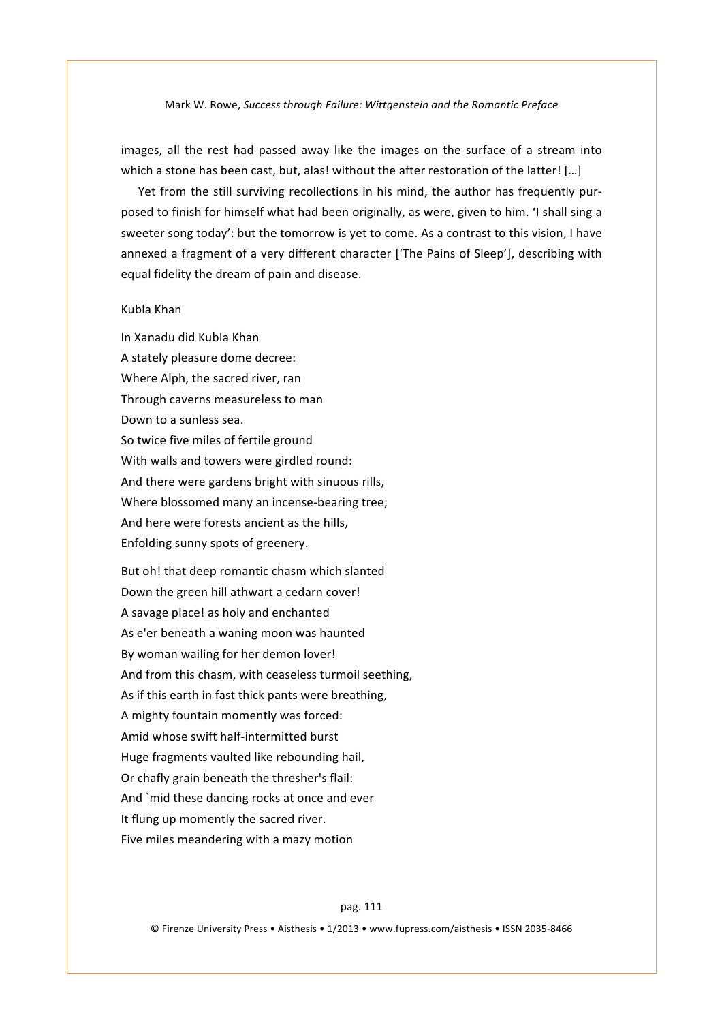images, all the rest had passed away like the images on the surface of a stream into which a stone has been cast, but, alas! without the after restoration of the latter! [...]

Yet from the still surviving recollections in his mind, the author has frequently purposed to finish for himself what had been originally, as were, given to him. 'I shall sing a sweeter song today': but the tomorrow is yet to come. As a contrast to this vision, I have annexed a fragment of a very different character ['The Pains of Sleep'], describing with equal fidelity the dream of pain and disease.

# Kubla'Khan

In'Xanadu'did'KubIa'Khan' A stately pleasure dome decree: Where Alph, the sacred river, ran Through caverns measureless to man Down to a sunless sea. So twice five miles of fertile ground With walls and towers were girdled round: And there were gardens bright with sinuous rills, Where blossomed many an incense-bearing tree; And here were forests ancient as the hills, Enfolding sunny spots of greenery.

But oh! that deep romantic chasm which slanted Down the green hill athwart a cedarn cover! A savage place! as holy and enchanted As e'er beneath a waning moon was haunted By woman wailing for her demon lover! And from this chasm, with ceaseless turmoil seething, As if this earth in fast thick pants were breathing, A mighty fountain momently was forced: Amid whose swift half-intermitted burst Huge fragments vaulted like rebounding hail, Or chafly grain beneath the thresher's flail: And 'mid these dancing rocks at once and ever It flung up momently the sacred river. Five miles meandering with a mazy motion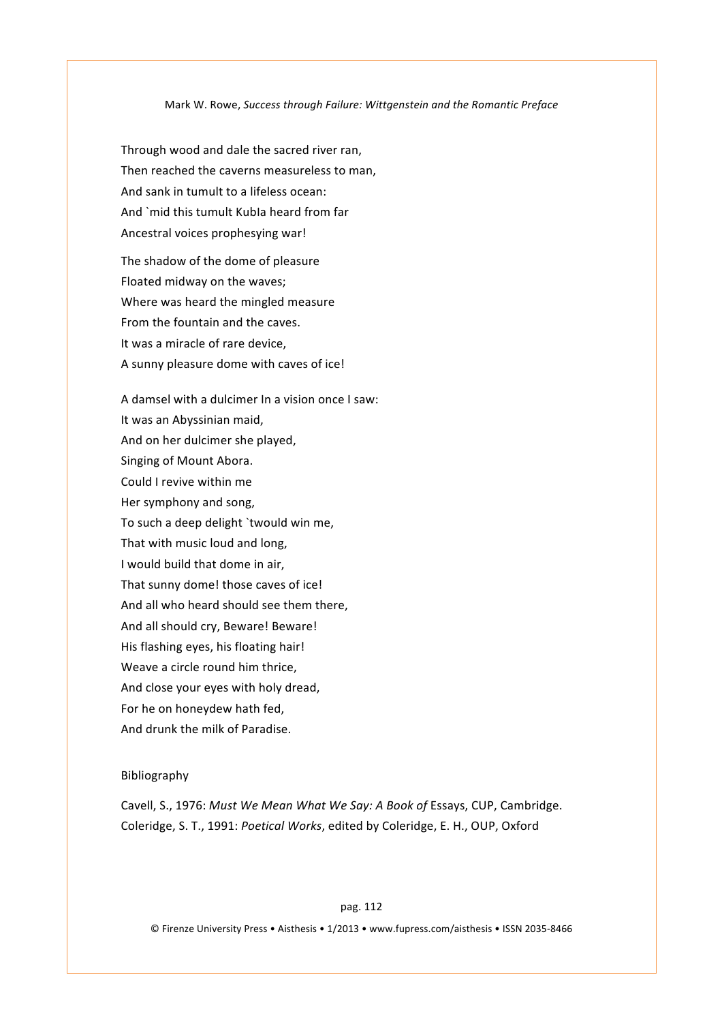Through wood and dale the sacred river ran, Then reached the caverns measureless to man. And sank in tumult to a lifeless ocean: And 'mid this tumult KubIa heard from far Ancestral voices prophesying war!

The shadow of the dome of pleasure Floated midway on the waves; Where was heard the mingled measure From the fountain and the caves. It was a miracle of rare device, A sunny pleasure dome with caves of ice!

A damsel with a dulcimer In a vision once I saw: It was an Abyssinian maid, And on her dulcimer she played, Singing of Mount Abora. Could I revive within me Her symphony and song, To such a deep delight 'twould win me, That with music loud and long, I would build that dome in air, That sunny dome! those caves of ice! And all who heard should see them there, And all should cry, Beware! Beware! His flashing eyes, his floating hair! Weave a circle round him thrice, And close your eyes with holy dread, For he on honeydew hath fed, And drunk the milk of Paradise.

# Bibliography

Cavell, S., 1976: *Must We Mean What We Say: A Book of Essays, CUP, Cambridge.* Coleridge, S. T., 1991: Poetical Works, edited by Coleridge, E. H., OUP, Oxford